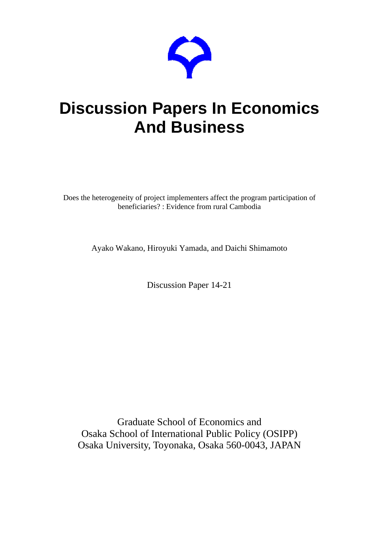

# **Discussion Papers In Economics And Business**

Does the heterogeneity of project implementers affect the program participation of beneficiaries? : Evidence from rural Cambodia

Ayako Wakano, Hiroyuki Yamada, and Daichi Shimamoto

Discussion Paper 14-21

Graduate School of Economics and Osaka School of International Public Policy (OSIPP) Osaka University, Toyonaka, Osaka 560-0043, JAPAN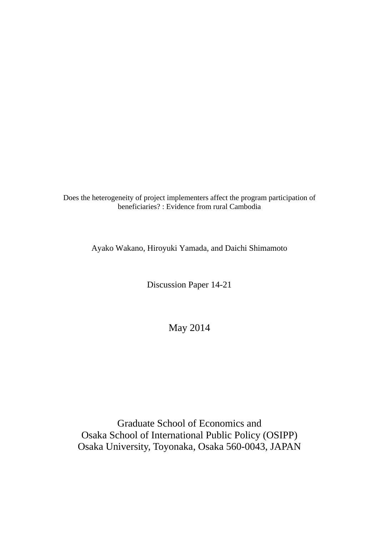Does the heterogeneity of project implementers affect the program participation of beneficiaries? : Evidence from rural Cambodia

Ayako Wakano, Hiroyuki Yamada, and Daichi Shimamoto

Discussion Paper 14-21

May 2014

Graduate School of Economics and Osaka School of International Public Policy (OSIPP) Osaka University, Toyonaka, Osaka 560-0043, JAPAN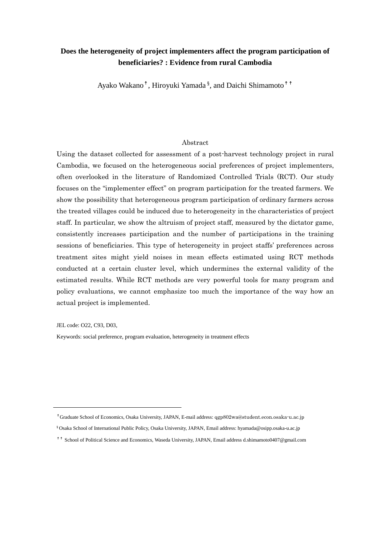# **Does the heterogeneity of project implementers affect the program participation of beneficiaries? : Evidence from rural Cambodia**

Ayako Wakano<sup>†</sup>, Hiroyuki Yamada <sup>§</sup>, and Daichi Shimamoto<sup>††</sup>

#### Abstract

Using the dataset collected for assessment of a post-harvest technology project in rural Cambodia, we focused on the heterogeneous social preferences of project implementers, often overlooked in the literature of Randomized Controlled Trials (RCT). Our study focuses on the "implementer effect" on program participation for the treated farmers. We show the possibility that heterogeneous program participation of ordinary farmers across the treated villages could be induced due to heterogeneity in the characteristics of project staff. In particular, we show the altruism of project staff, measured by the dictator game, consistently increases participation and the number of participations in the training sessions of beneficiaries. This type of heterogeneity in project staffs' preferences across treatment sites might yield noises in mean effects estimated using RCT methods conducted at a certain cluster level, which undermines the external validity of the estimated results. While RCT methods are very powerful tools for many program and policy evaluations, we cannot emphasize too much the importance of the way how an actual project is implemented.

JEL code: O22, C93, D03,

Keywords: social preference, program evaluation, heterogeneity in treatment effects

☨Graduate School of Economics, Osaka University, JAPAN, E-mail address: qgp802wa@student.econ.osaka-u.ac.jp

- § Osaka School of International Public Policy, Osaka University, JAPAN, Email address: hyamada@osipp.osaka-u.ac.jp
- ☨☨ School of Political Science and Economics, Waseda University, JAPAN, Email address d.shimamoto0407@gmail.com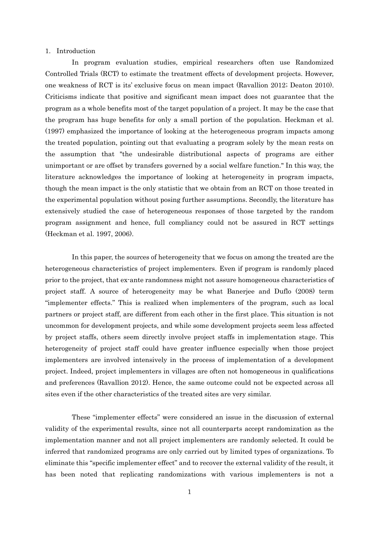#### 1. Introduction

In program evaluation studies, empirical researchers often use Randomized Controlled Trials (RCT) to estimate the treatment effects of development projects. However, one weakness of RCT is its' exclusive focus on mean impact (Ravallion 2012; Deaton 2010). Criticisms indicate that positive and significant mean impact does not guarantee that the program as a whole benefits most of the target population of a project. It may be the case that the program has huge benefits for only a small portion of the population. Heckman et al. (1997) emphasized the importance of looking at the heterogeneous program impacts among the treated population, pointing out that evaluating a program solely by the mean rests on the assumption that "the undesirable distributional aspects of programs are either unimportant or are offset by transfers governed by a social welfare function." In this way, the literature acknowledges the importance of looking at heterogeneity in program impacts, though the mean impact is the only statistic that we obtain from an RCT on those treated in the experimental population without posing further assumptions. Secondly, the literature has extensively studied the case of heterogeneous responses of those targeted by the random program assignment and hence, full compliancy could not be assured in RCT settings (Heckman et al. 1997, 2006).

In this paper, the sources of heterogeneity that we focus on among the treated are the heterogeneous characteristics of project implementers. Even if program is randomly placed prior to the project, that ex-ante randomness might not assure homogeneous characteristics of project staff. A source of heterogeneity may be what Banerjee and Duflo (2008) term "implementer effects." This is realized when implementers of the program, such as local partners or project staff, are different from each other in the first place. This situation is not uncommon for development projects, and while some development projects seem less affected by project staffs, others seem directly involve project staffs in implementation stage. This heterogeneity of project staff could have greater influence especially when those project implementers are involved intensively in the process of implementation of a development project. Indeed, project implementers in villages are often not homogeneous in qualifications and preferences (Ravallion 2012). Hence, the same outcome could not be expected across all sites even if the other characteristics of the treated sites are very similar.

These "implementer effects" were considered an issue in the discussion of external validity of the experimental results, since not all counterparts accept randomization as the implementation manner and not all project implementers are randomly selected. It could be inferred that randomized programs are only carried out by limited types of organizations. To eliminate this "specific implementer effect" and to recover the external validity of the result, it has been noted that replicating randomizations with various implementers is not a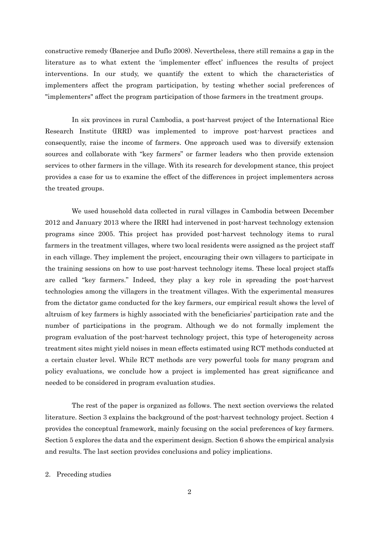constructive remedy (Banerjee and Duflo 2008). Nevertheless, there still remains a gap in the literature as to what extent the 'implementer effect' influences the results of project interventions. In our study, we quantify the extent to which the characteristics of implementers affect the program participation, by testing whether social preferences of "implementers" affect the program participation of those farmers in the treatment groups.

In six provinces in rural Cambodia, a post-harvest project of the International Rice Research Institute (IRRI) was implemented to improve post-harvest practices and consequently, raise the income of farmers. One approach used was to diversify extension sources and collaborate with "key farmers" or farmer leaders who then provide extension services to other farmers in the village. With its research for development stance, this project provides a case for us to examine the effect of the differences in project implementers across the treated groups.

We used household data collected in rural villages in Cambodia between December 2012 and January 2013 where the IRRI had intervened in post-harvest technology extension programs since 2005. This project has provided post-harvest technology items to rural farmers in the treatment villages, where two local residents were assigned as the project staff in each village. They implement the project, encouraging their own villagers to participate in the training sessions on how to use post-harvest technology items. These local project staffs are called "key farmers." Indeed, they play a key role in spreading the post-harvest technologies among the villagers in the treatment villages. With the experimental measures from the dictator game conducted for the key farmers, our empirical result shows the level of altruism of key farmers is highly associated with the beneficiaries' participation rate and the number of participations in the program. Although we do not formally implement the program evaluation of the post-harvest technology project, this type of heterogeneity across treatment sites might yield noises in mean effects estimated using RCT methods conducted at a certain cluster level. While RCT methods are very powerful tools for many program and policy evaluations, we conclude how a project is implemented has great significance and needed to be considered in program evaluation studies.

The rest of the paper is organized as follows. The next section overviews the related literature. Section 3 explains the background of the post-harvest technology project. Section 4 provides the conceptual framework, mainly focusing on the social preferences of key farmers. Section 5 explores the data and the experiment design. Section 6 shows the empirical analysis and results. The last section provides conclusions and policy implications.

#### 2. Preceding studies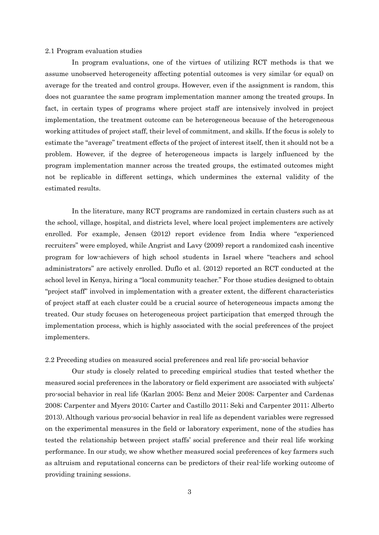#### 2.1 Program evaluation studies

In program evaluations, one of the virtues of utilizing RCT methods is that we assume unobserved heterogeneity affecting potential outcomes is very similar (or equal) on average for the treated and control groups. However, even if the assignment is random, this does not guarantee the same program implementation manner among the treated groups. In fact, in certain types of programs where project staff are intensively involved in project implementation, the treatment outcome can be heterogeneous because of the heterogeneous working attitudes of project staff, their level of commitment, and skills. If the focus is solely to estimate the "average" treatment effects of the project of interest itself, then it should not be a problem. However, if the degree of heterogeneous impacts is largely influenced by the program implementation manner across the treated groups, the estimated outcomes might not be replicable in different settings, which undermines the external validity of the estimated results.

In the literature, many RCT programs are randomized in certain clusters such as at the school, village, hospital, and districts level, where local project implementers are actively enrolled. For example, Jensen (2012) report evidence from India where "experienced recruiters" were employed, while Angrist and Lavy (2009) report a randomized cash incentive program for low-achievers of high school students in Israel where "teachers and school administrators" are actively enrolled. Duflo et al. (2012) reported an RCT conducted at the school level in Kenya, hiring a "local community teacher." For those studies designed to obtain "project staff" involved in implementation with a greater extent, the different characteristics of project staff at each cluster could be a crucial source of heterogeneous impacts among the treated. Our study focuses on heterogeneous project participation that emerged through the implementation process, which is highly associated with the social preferences of the project implementers.

2.2 Preceding studies on measured social preferences and real life pro-social behavior

Our study is closely related to preceding empirical studies that tested whether the measured social preferences in the laboratory or field experiment are associated with subjects' pro-social behavior in real life (Karlan 2005; Benz and Meier 2008; Carpenter and Cardenas 2008; Carpenter and Myers 2010; Carter and Castillo 2011; Seki and Carpenter 2011; Alberto 2013). Although various pro-social behavior in real life as dependent variables were regressed on the experimental measures in the field or laboratory experiment, none of the studies has tested the relationship between project staffs' social preference and their real life working performance. In our study, we show whether measured social preferences of key farmers such as altruism and reputational concerns can be predictors of their real-life working outcome of providing training sessions.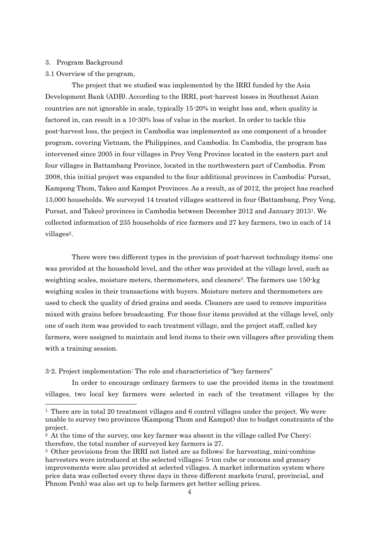#### 3. Program Background

 $\overline{a}$ 

#### 3.1 Overview of the program,

The project that we studied was implemented by the IRRI funded by the Asia Development Bank (ADB). According to the IRRI, post-harvest losses in Southeast Asian countries are not ignorable in scale, typically 15-20% in weight loss and, when quality is factored in, can result in a 10-30% loss of value in the market. In order to tackle this post-harvest loss, the project in Cambodia was implemented as one component of a broader program, covering Vietnam, the Philippines, and Cambodia. In Cambodia, the program has intervened since 2005 in four villages in Prey Veng Province located in the eastern part and four villages in Battambang Province, located in the northwestern part of Cambodia. From 2008, this initial project was expanded to the four additional provinces in Cambodia: Pursat, Kampong Thom, Takeo and Kampot Provinces. As a result, as of 2012, the project has reached 13,000 households. We surveyed 14 treated villages scattered in four (Battambang, Prey Veng, Pursat, and Takeo) provinces in Cambodia between December 2012 and January 20131. We collected information of 235 households of rice farmers and 27 key farmers, two in each of 14 villages2.

There were two different types in the provision of post-harvest technology items: one was provided at the household level, and the other was provided at the village level, such as weighting scales, moisture meters, thermometers, and cleaners<sup>3</sup>. The farmers use 150-kg weighing scales in their transactions with buyers. Moisture meters and thermometers are used to check the quality of dried grains and seeds. Cleaners are used to remove impurities mixed with grains before broadcasting. For those four items provided at the village level, only one of each item was provided to each treatment village, and the project staff, called key farmers, were assigned to maintain and lend items to their own villagers after providing them with a training session.

#### 3-2. Project implementation: The role and characteristics of "key farmers"

In order to encourage ordinary farmers to use the provided items in the treatment villages, two local key farmers were selected in each of the treatment villages by the

<sup>1</sup> There are in total 20 treatment villages and 6 control villages under the project. We were unable to survey two provinces (Kampong Thom and Kampot) due to budget constraints of the project.

<sup>&</sup>lt;sup>2</sup> At the time of the survey, one key farmer was absent in the village called Por Chery; therefore, the total number of surveyed key farmers is 27.

<sup>3</sup> Other provisions from the IRRI not listed are as follows: for harvesting, mini-combine harvesters were introduced at the selected villages; 5-ton cube or cocoons and granary improvements were also provided at selected villages. A market information system where price data was collected every three days in three different markets (rural, provincial, and Phnom Penh) was also set up to help farmers get better selling prices.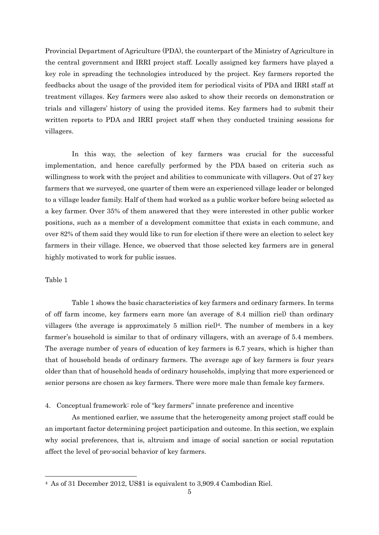Provincial Department of Agriculture (PDA), the counterpart of the Ministry of Agriculture in the central government and IRRI project staff. Locally assigned key farmers have played a key role in spreading the technologies introduced by the project. Key farmers reported the feedbacks about the usage of the provided item for periodical visits of PDA and IRRI staff at treatment villages. Key farmers were also asked to show their records on demonstration or trials and villagers' history of using the provided items. Key farmers had to submit their written reports to PDA and IRRI project staff when they conducted training sessions for villagers.

In this way, the selection of key farmers was crucial for the successful implementation, and hence carefully performed by the PDA based on criteria such as willingness to work with the project and abilities to communicate with villagers. Out of 27 key farmers that we surveyed, one quarter of them were an experienced village leader or belonged to a village leader family. Half of them had worked as a public worker before being selected as a key farmer. Over 35% of them answered that they were interested in other public worker positions, such as a member of a development committee that exists in each commune, and over 82% of them said they would like to run for election if there were an election to select key farmers in their village. Hence, we observed that those selected key farmers are in general highly motivated to work for public issues.

#### Table 1

 $\overline{a}$ 

Table 1 shows the basic characteristics of key farmers and ordinary farmers. In terms of off farm income, key farmers earn more (an average of 8.4 million riel) than ordinary villagers (the average is approximately 5 million riel)4. The number of members in a key farmer's household is similar to that of ordinary villagers, with an average of 5.4 members. The average number of years of education of key farmers is 6.7 years, which is higher than that of household heads of ordinary farmers. The average age of key farmers is four years older than that of household heads of ordinary households, implying that more experienced or senior persons are chosen as key farmers. There were more male than female key farmers.

4. Conceptual framework: role of "key farmers" innate preference and incentive

As mentioned earlier, we assume that the heterogeneity among project staff could be an important factor determining project participation and outcome. In this section, we explain why social preferences, that is, altruism and image of social sanction or social reputation affect the level of pro-social behavior of key farmers.

<sup>4</sup> As of 31 December 2012, US\$1 is equivalent to 3,909.4 Cambodian Riel.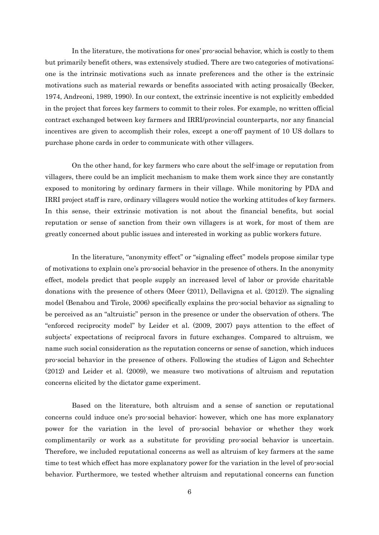In the literature, the motivations for ones' pro-social behavior, which is costly to them but primarily benefit others, was extensively studied. There are two categories of motivations; one is the intrinsic motivations such as innate preferences and the other is the extrinsic motivations such as material rewards or benefits associated with acting prosaically (Becker, 1974, Andreoni, 1989, 1990). In our context, the extrinsic incentive is not explicitly embedded in the project that forces key farmers to commit to their roles. For example, no written official contract exchanged between key farmers and IRRI/provincial counterparts, nor any financial incentives are given to accomplish their roles, except a one-off payment of 10 US dollars to purchase phone cards in order to communicate with other villagers.

On the other hand, for key farmers who care about the self-image or reputation from villagers, there could be an implicit mechanism to make them work since they are constantly exposed to monitoring by ordinary farmers in their village. While monitoring by PDA and IRRI project staff is rare, ordinary villagers would notice the working attitudes of key farmers. In this sense, their extrinsic motivation is not about the financial benefits, but social reputation or sense of sanction from their own villagers is at work, for most of them are greatly concerned about public issues and interested in working as public workers future.

In the literature, "anonymity effect" or "signaling effect" models propose similar type of motivations to explain one's pro-social behavior in the presence of others. In the anonymity effect, models predict that people supply an increased level of labor or provide charitable donations with the presence of others (Meer (2011), Dellavigna et al. (2012)). The signaling model (Benabou and Tirole, 2006) specifically explains the pro-social behavior as signaling to be perceived as an "altruistic" person in the presence or under the observation of others. The "enforced reciprocity model" by Leider et al. (2009, 2007) pays attention to the effect of subjects' expectations of reciprocal favors in future exchanges. Compared to altruism, we name such social consideration as the reputation concerns or sense of sanction, which induces pro-social behavior in the presence of others. Following the studies of Ligon and Schechter (2012) and Leider et al. (2009), we measure two motivations of altruism and reputation concerns elicited by the dictator game experiment.

Based on the literature, both altruism and a sense of sanction or reputational concerns could induce one's pro-social behavior; however, which one has more explanatory power for the variation in the level of pro-social behavior or whether they work complimentarily or work as a substitute for providing pro-social behavior is uncertain. Therefore, we included reputational concerns as well as altruism of key farmers at the same time to test which effect has more explanatory power for the variation in the level of pro-social behavior. Furthermore, we tested whether altruism and reputational concerns can function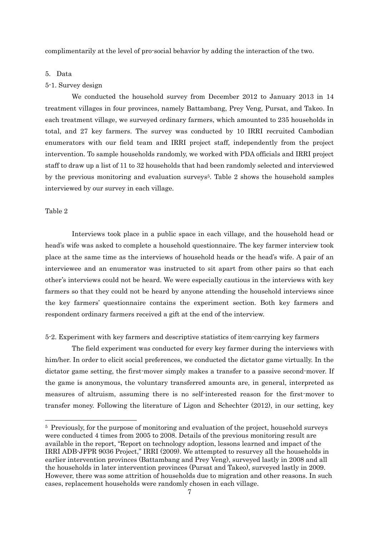complimentarily at the level of pro-social behavior by adding the interaction of the two.

#### 5. Data

#### 5-1. Survey design

We conducted the household survey from December 2012 to January 2013 in 14 treatment villages in four provinces, namely Battambang, Prey Veng, Pursat, and Takeo. In each treatment village, we surveyed ordinary farmers, which amounted to 235 households in total, and 27 key farmers. The survey was conducted by 10 IRRI recruited Cambodian enumerators with our field team and IRRI project staff, independently from the project intervention. To sample households randomly, we worked with PDA officials and IRRI project staff to draw up a list of 11 to 32 households that had been randomly selected and interviewed by the previous monitoring and evaluation surveys5. Table 2 shows the household samples interviewed by our survey in each village.

#### Table 2

 $\overline{a}$ 

Interviews took place in a public space in each village, and the household head or head's wife was asked to complete a household questionnaire. The key farmer interview took place at the same time as the interviews of household heads or the head's wife. A pair of an interviewee and an enumerator was instructed to sit apart from other pairs so that each other's interviews could not be heard. We were especially cautious in the interviews with key farmers so that they could not be heard by anyone attending the household interviews since the key farmers' questionnaire contains the experiment section. Both key farmers and respondent ordinary farmers received a gift at the end of the interview.

5-2. Experiment with key farmers and descriptive statistics of item-carrying key farmers

The field experiment was conducted for every key farmer during the interviews with him/her. In order to elicit social preferences, we conducted the dictator game virtually. In the dictator game setting, the first-mover simply makes a transfer to a passive second-mover. If the game is anonymous, the voluntary transferred amounts are, in general, interpreted as measures of altruism, assuming there is no self-interested reason for the first-mover to transfer money. Following the literature of Ligon and Schechter (2012), in our setting, key

<sup>5</sup> Previously, for the purpose of monitoring and evaluation of the project, household surveys were conducted 4 times from 2005 to 2008. Details of the previous monitoring result are available in the report, "Report on technology adoption, lessons learned and impact of the IRRI ADB-JFPR 9036 Project," IRRI (2009). We attempted to resurvey all the households in earlier intervention provinces (Battambang and Prey Veng), surveyed lastly in 2008 and all the households in later intervention provinces (Pursat and Takeo), surveyed lastly in 2009. However, there was some attrition of households due to migration and other reasons. In such cases, replacement households were randomly chosen in each village.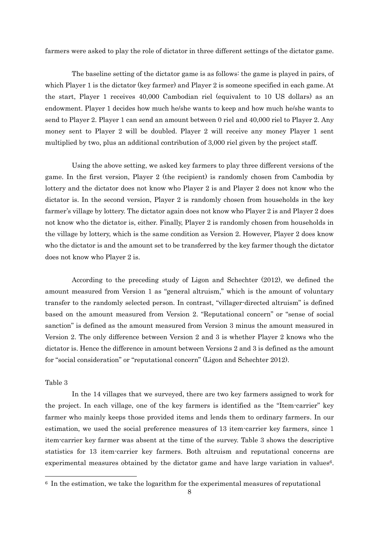farmers were asked to play the role of dictator in three different settings of the dictator game.

The baseline setting of the dictator game is as follows: the game is played in pairs, of which Player 1 is the dictator (key farmer) and Player 2 is someone specified in each game. At the start, Player 1 receives 40,000 Cambodian riel (equivalent to 10 US dollars) as an endowment. Player 1 decides how much he/she wants to keep and how much he/she wants to send to Player 2. Player 1 can send an amount between 0 riel and 40,000 riel to Player 2. Any money sent to Player 2 will be doubled. Player 2 will receive any money Player 1 sent multiplied by two, plus an additional contribution of 3,000 riel given by the project staff.

Using the above setting, we asked key farmers to play three different versions of the game. In the first version, Player 2 (the recipient) is randomly chosen from Cambodia by lottery and the dictator does not know who Player 2 is and Player 2 does not know who the dictator is. In the second version, Player 2 is randomly chosen from households in the key farmer's village by lottery. The dictator again does not know who Player 2 is and Player 2 does not know who the dictator is, either. Finally, Player 2 is randomly chosen from households in the village by lottery, which is the same condition as Version 2. However, Player 2 does know who the dictator is and the amount set to be transferred by the key farmer though the dictator does not know who Player 2 is.

According to the preceding study of Ligon and Schechter (2012), we defined the amount measured from Version 1 as "general altruism," which is the amount of voluntary transfer to the randomly selected person. In contrast, "villager-directed altruism" is defined based on the amount measured from Version 2. "Reputational concern" or "sense of social sanction" is defined as the amount measured from Version 3 minus the amount measured in Version 2. The only difference between Version 2 and 3 is whether Player 2 knows who the dictator is. Hence the difference in amount between Versions 2 and 3 is defined as the amount for "social consideration" or "reputational concern" (Ligon and Schechter 2012).

#### Table 3

 $\overline{a}$ 

In the 14 villages that we surveyed, there are two key farmers assigned to work for the project. In each village, one of the key farmers is identified as the "Item-carrier" key farmer who mainly keeps those provided items and lends them to ordinary farmers. In our estimation, we used the social preference measures of 13 item-carrier key farmers, since 1 item-carrier key farmer was absent at the time of the survey. Table 3 shows the descriptive statistics for 13 item-carrier key farmers. Both altruism and reputational concerns are experimental measures obtained by the dictator game and have large variation in values<sup>6</sup>.

<sup>6</sup> In the estimation, we take the logarithm for the experimental measures of reputational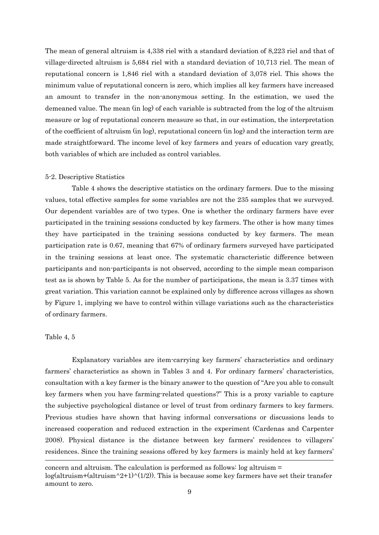The mean of general altruism is 4,338 riel with a standard deviation of 8,223 riel and that of village-directed altruism is 5,684 riel with a standard deviation of 10,713 riel. The mean of reputational concern is 1,846 riel with a standard deviation of 3,078 riel. This shows the minimum value of reputational concern is zero, which implies all key farmers have increased an amount to transfer in the non-anonymous setting. In the estimation, we used the demeaned value. The mean (in log) of each variable is subtracted from the log of the altruism measure or log of reputational concern measure so that, in our estimation, the interpretation of the coefficient of altruism (in log), reputational concern (in log) and the interaction term are made straightforward. The income level of key farmers and years of education vary greatly, both variables of which are included as control variables.

#### 5-2. Descriptive Statistics

Table 4 shows the descriptive statistics on the ordinary farmers. Due to the missing values, total effective samples for some variables are not the 235 samples that we surveyed. Our dependent variables are of two types. One is whether the ordinary farmers have ever participated in the training sessions conducted by key farmers. The other is how many times they have participated in the training sessions conducted by key farmers. The mean participation rate is 0.67, meaning that 67% of ordinary farmers surveyed have participated in the training sessions at least once. The systematic characteristic difference between participants and non-participants is not observed, according to the simple mean comparison test as is shown by Table 5. As for the number of participations, the mean is 3.37 times with great variation. This variation cannot be explained only by difference across villages as shown by Figure 1, implying we have to control within village variations such as the characteristics of ordinary farmers.

#### Table 4, 5

 $\overline{\phantom{a}}$ 

Explanatory variables are item-carrying key farmers' characteristics and ordinary farmers' characteristics as shown in Tables 3 and 4. For ordinary farmers' characteristics, consultation with a key farmer is the binary answer to the question of "Are you able to consult key farmers when you have farming-related questions?" This is a proxy variable to capture the subjective psychological distance or level of trust from ordinary farmers to key farmers. Previous studies have shown that having informal conversations or discussions leads to increased cooperation and reduced extraction in the experiment (Cardenas and Carpenter 2008). Physical distance is the distance between key farmers' residences to villagers' residences. Since the training sessions offered by key farmers is mainly held at key farmers'

concern and altruism. The calculation is performed as follows: log altruism =  $log(altruism+(altruism^2+1)^{N}(1/2))$ . This is because some key farmers have set their transfer amount to zero.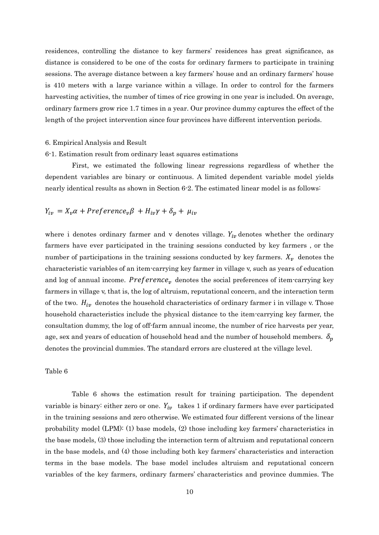residences, controlling the distance to key farmers' residences has great significance, as distance is considered to be one of the costs for ordinary farmers to participate in training sessions. The average distance between a key farmers' house and an ordinary farmers' house is 410 meters with a large variance within a village. In order to control for the farmers harvesting activities, the number of times of rice growing in one year is included. On average, ordinary farmers grow rice 1.7 times in a year. Our province dummy captures the effect of the length of the project intervention since four provinces have different intervention periods.

#### 6. Empirical Analysis and Result

#### 6-1. Estimation result from ordinary least squares estimations

First, we estimated the following linear regressions regardless of whether the dependent variables are binary or continuous. A limited dependent variable model yields nearly identical results as shown in Section 6-2. The estimated linear model is as follows:

## $Y_{iv} = X_{v} \alpha + Preference_{v} \beta + H_{iv} \gamma + \delta_{v} + \mu_{iv}$

where i denotes ordinary farmer and v denotes village.  $Y_{iv}$  denotes whether the ordinary farmers have ever participated in the training sessions conducted by key farmers , or the number of participations in the training sessions conducted by key farmers.  $X_{\nu}$  denotes the characteristic variables of an item-carrying key farmer in village v, such as years of education and log of annual income. Preference, denotes the social preferences of item-carrying key farmers in village v, that is, the log of altruism, reputational concern, and the interaction term of the two.  $H_{iv}$  denotes the household characteristics of ordinary farmer i in village v. Those household characteristics include the physical distance to the item-carrying key farmer, the consultation dummy, the log of off-farm annual income, the number of rice harvests per year, age, sex and years of education of household head and the number of household members.  $\delta_n$ denotes the provincial dummies. The standard errors are clustered at the village level.

#### Table 6

Table 6 shows the estimation result for training participation. The dependent variable is binary: either zero or one.  $Y_{iv}$  takes 1 if ordinary farmers have ever participated in the training sessions and zero otherwise. We estimated four different versions of the linear probability model (LPM): (1) base models, (2) those including key farmers' characteristics in the base models, (3) those including the interaction term of altruism and reputational concern in the base models, and (4) those including both key farmers' characteristics and interaction terms in the base models. The base model includes altruism and reputational concern variables of the key farmers, ordinary farmers' characteristics and province dummies. The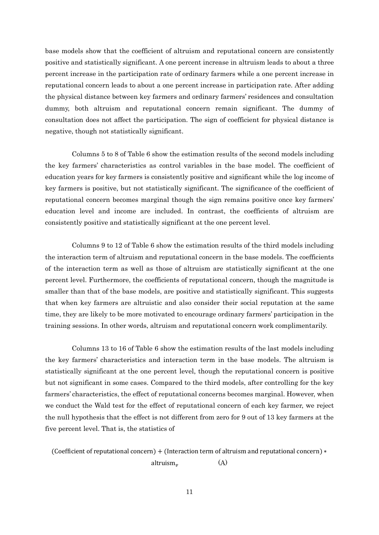base models show that the coefficient of altruism and reputational concern are consistently positive and statistically significant. A one percent increase in altruism leads to about a three percent increase in the participation rate of ordinary farmers while a one percent increase in reputational concern leads to about a one percent increase in participation rate. After adding the physical distance between key farmers and ordinary farmers' residences and consultation dummy, both altruism and reputational concern remain significant. The dummy of consultation does not affect the participation. The sign of coefficient for physical distance is negative, though not statistically significant.

Columns 5 to 8 of Table 6 show the estimation results of the second models including the key farmers' characteristics as control variables in the base model. The coefficient of education years for key farmers is consistently positive and significant while the log income of key farmers is positive, but not statistically significant. The significance of the coefficient of reputational concern becomes marginal though the sign remains positive once key farmers' education level and income are included. In contrast, the coefficients of altruism are consistently positive and statistically significant at the one percent level.

Columns 9 to 12 of Table 6 show the estimation results of the third models including the interaction term of altruism and reputational concern in the base models. The coefficients of the interaction term as well as those of altruism are statistically significant at the one percent level. Furthermore, the coefficients of reputational concern, though the magnitude is smaller than that of the base models, are positive and statistically significant. This suggests that when key farmers are altruistic and also consider their social reputation at the same time, they are likely to be more motivated to encourage ordinary farmers' participation in the training sessions. In other words, altruism and reputational concern work complimentarily.

Columns 13 to 16 of Table 6 show the estimation results of the last models including the key farmers' characteristics and interaction term in the base models. The altruism is statistically significant at the one percent level, though the reputational concern is positive but not significant in some cases. Compared to the third models, after controlling for the key farmers' characteristics, the effect of reputational concerns becomes marginal. However, when we conduct the Wald test for the effect of reputational concern of each key farmer, we reject the null hypothesis that the effect is not different from zero for 9 out of 13 key farmers at the five percent level. That is, the statistics of

(Coefficient of reputational concern) + (Interaction term of altruism and reputational concern) ∗

altruism (A)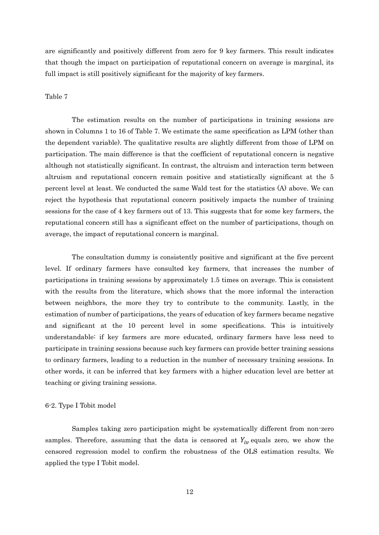are significantly and positively different from zero for 9 key farmers. This result indicates that though the impact on participation of reputational concern on average is marginal, its full impact is still positively significant for the majority of key farmers.

#### Table 7

The estimation results on the number of participations in training sessions are shown in Columns 1 to 16 of Table 7. We estimate the same specification as LPM (other than the dependent variable). The qualitative results are slightly different from those of LPM on participation. The main difference is that the coefficient of reputational concern is negative although not statistically significant. In contrast, the altruism and interaction term between altruism and reputational concern remain positive and statistically significant at the 5 percent level at least. We conducted the same Wald test for the statistics (A) above. We can reject the hypothesis that reputational concern positively impacts the number of training sessions for the case of 4 key farmers out of 13. This suggests that for some key farmers, the reputational concern still has a significant effect on the number of participations, though on average, the impact of reputational concern is marginal.

The consultation dummy is consistently positive and significant at the five percent level. If ordinary farmers have consulted key farmers, that increases the number of participations in training sessions by approximately 1.5 times on average. This is consistent with the results from the literature, which shows that the more informal the interaction between neighbors, the more they try to contribute to the community. Lastly, in the estimation of number of participations, the years of education of key farmers became negative and significant at the 10 percent level in some specifications. This is intuitively understandable: if key farmers are more educated, ordinary farmers have less need to participate in training sessions because such key farmers can provide better training sessions to ordinary farmers, leading to a reduction in the number of necessary training sessions. In other words, it can be inferred that key farmers with a higher education level are better at teaching or giving training sessions.

#### 6-2. Type I Tobit model

Samples taking zero participation might be systematically different from non-zero samples. Therefore, assuming that the data is censored at  $Y_{iv}$  equals zero, we show the censored regression model to confirm the robustness of the OLS estimation results. We applied the type I Tobit model.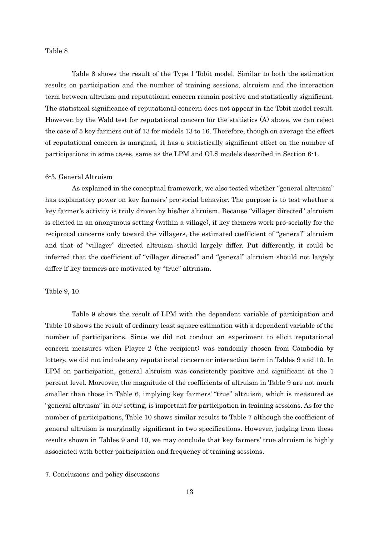#### Table 8

Table 8 shows the result of the Type I Tobit model. Similar to both the estimation results on participation and the number of training sessions, altruism and the interaction term between altruism and reputational concern remain positive and statistically significant. The statistical significance of reputational concern does not appear in the Tobit model result. However, by the Wald test for reputational concern for the statistics (A) above, we can reject the case of 5 key farmers out of 13 for models 13 to 16. Therefore, though on average the effect of reputational concern is marginal, it has a statistically significant effect on the number of participations in some cases, same as the LPM and OLS models described in Section 6-1.

#### 6-3. General Altruism

As explained in the conceptual framework, we also tested whether "general altruism" has explanatory power on key farmers' pro-social behavior. The purpose is to test whether a key farmer's activity is truly driven by his/her altruism. Because "villager directed" altruism is elicited in an anonymous setting (within a village), if key farmers work pro-socially for the reciprocal concerns only toward the villagers, the estimated coefficient of "general" altruism and that of "villager" directed altruism should largely differ. Put differently, it could be inferred that the coefficient of "villager directed" and "general" altruism should not largely differ if key farmers are motivated by "true" altruism.

#### Table 9, 10

Table 9 shows the result of LPM with the dependent variable of participation and Table 10 shows the result of ordinary least square estimation with a dependent variable of the number of participations. Since we did not conduct an experiment to elicit reputational concern measures when Player 2 (the recipient) was randomly chosen from Cambodia by lottery, we did not include any reputational concern or interaction term in Tables 9 and 10. In LPM on participation, general altruism was consistently positive and significant at the 1 percent level. Moreover, the magnitude of the coefficients of altruism in Table 9 are not much smaller than those in Table 6, implying key farmers' "true" altruism, which is measured as "general altruism" in our setting, is important for participation in training sessions. As for the number of participations, Table 10 shows similar results to Table 7 although the coefficient of general altruism is marginally significant in two specifications. However, judging from these results shown in Tables 9 and 10, we may conclude that key farmers' true altruism is highly associated with better participation and frequency of training sessions.

7. Conclusions and policy discussions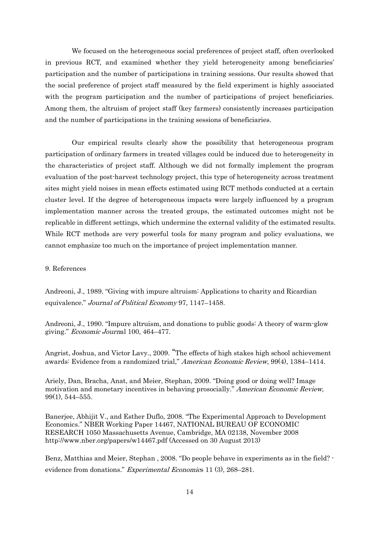We focused on the heterogeneous social preferences of project staff, often overlooked in previous RCT, and examined whether they yield heterogeneity among beneficiaries' participation and the number of participations in training sessions. Our results showed that the social preference of project staff measured by the field experiment is highly associated with the program participation and the number of participations of project beneficiaries. Among them, the altruism of project staff (key farmers) consistently increases participation and the number of participations in the training sessions of beneficiaries.

Our empirical results clearly show the possibility that heterogeneous program participation of ordinary farmers in treated villages could be induced due to heterogeneity in the characteristics of project staff. Although we did not formally implement the program evaluation of the post-harvest technology project, this type of heterogeneity across treatment sites might yield noises in mean effects estimated using RCT methods conducted at a certain cluster level. If the degree of heterogeneous impacts were largely influenced by a program implementation manner across the treated groups, the estimated outcomes might not be replicable in different settings, which undermine the external validity of the estimated results. While RCT methods are very powerful tools for many program and policy evaluations, we cannot emphasize too much on the importance of project implementation manner.

9. References

Andreoni, J., 1989. "Giving with impure altruism: Applications to charity and Ricardian equivalence." Journal of Political Economy 97, 1147–1458.

Andreoni, J., 1990. "Impure altruism, and donations to public goods: A theory of warm-glow giving." Economic Journal 100, 464–477.

Angrist, Joshua, and Victor Lavy., 2009. "The effects of high stakes high school achievement awards: Evidence from a randomized trial," American Economic Review, 99(4), 1384–1414.

Ariely, Dan, Bracha, Anat, and Meier, Stephan, 2009. "Doing good or doing well? Image motivation and monetary incentives in behaving prosocially." American Economic Review, 99(1), 544–555.

Banerjee, Abhijit V., and Esther Duflo, 2008. "The Experimental Approach to Development Economics." NBER Working Paper 14467, NATIONAL BUREAU OF ECONOMIC RESEARCH 1050 Massachusetts Avenue, Cambridge, MA 02138, November 2008 http://www.nber.org/papers/w14467.pdf (Accessed on 30 August 2013)

Benz, Matthias and Meier, Stephan , 2008. "Do people behave in experiments as in the field? evidence from donations." Experimental Economics 11 (3), 268-281.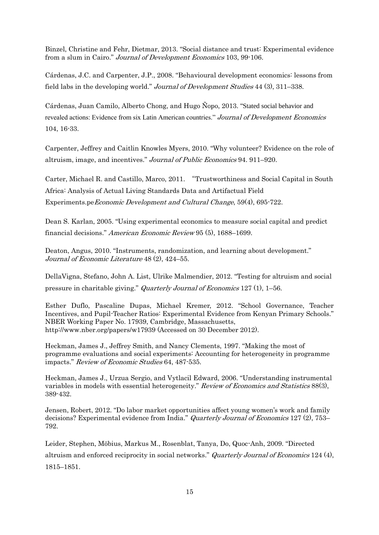Binzel, Christine and Fehr, Dietmar, 2013. "Social distance and trust: Experimental evidence from a slum in Cairo." Journal of Development Economics 103, 99-106.

Cárdenas, J.C. and Carpenter, J.P., 2008. "Behavioural development economics: lessons from field labs in the developing world." Journal of Development Studies 44 (3), 311–338.

Cárdenas, Juan Camilo, Alberto Chong, and Hugo Ñopo, 2013. "Stated social behavior and revealed actions: Evidence from six Latin American countries." Journal of Development Economics 104, 16-33.

Carpenter, Jeffrey and Caitlin Knowles Myers, 2010. "Why volunteer? Evidence on the role of altruism, image, and incentives." Journal of Public Economics 94. 911–920.

Carter, Michael R. and Castillo, Marco, 2011. "Trustworthiness and Social Capital in South Africa: Analysis of Actual Living Standards Data and Artifactual Field Experiments.peEconomic Development and Cultural Change, 59(4), 695-722.

Dean S. Karlan, 2005. "Using experimental economics to measure social capital and predict financial decisions." American Economic Review 95 (5), 1688–1699.

Deaton, Angus, 2010. "Instruments, randomization, and learning about development." Journal of Economic Literature 48 (2), 424–55.

DellaVigna, Stefano, John A. List, Ulrike Malmendier, 2012. "Testing for altruism and social pressure in charitable giving." Quarterly Journal of Economics 127 (1), 1–56.

Esther Duflo, Pascaline Dupas, Michael Kremer, 2012. "School Governance, Teacher Incentives, and Pupil-Teacher Ratios: Experimental Evidence from Kenyan Primary Schools." NBER Working Paper No. 17939, Cambridge, Massachusetts, http://www.nber.org/papers/w17939 (Accessed on 30 December 2012).

Heckman, James J., Jeffrey Smith, and Nancy Clements, 1997. "Making the most of programme evaluations and social experiments: Accounting for heterogeneity in programme impacts." Review of Economic Studies 64, 487-535.

Heckman, James J., Urzua Sergio, and Vytlacil Edward, 2006. "Understanding instrumental variables in models with essential heterogeneity." Review of Economics and Statistics 88(3), 389-432.

Jensen, Robert, 2012. "Do labor market opportunities affect young women's work and family decisions? Experimental evidence from India." *Quarterly Journal of Economics* 127 (2), 753– 792.

Leider, Stephen, Möbius, Markus M., Rosenblat, Tanya, Do, Quoc-Anh, 2009. "Directed altruism and enforced reciprocity in social networks." Quarterly Journal of Economics 124 (4), 1815–1851.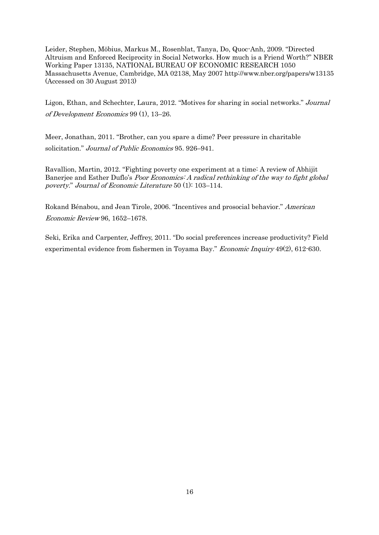Leider, Stephen, Möbius, Markus M., Rosenblat, Tanya, Do, Quoc-Anh, 2009. "Directed Altruism and Enforced Reciprocity in Social Networks. How much is a Friend Worth?" NBER Working Paper 13135, NATIONAL BUREAU OF ECONOMIC RESEARCH 1050 Massachusetts Avenue, Cambridge, MA 02138, May 2007 http://www.nber.org/papers/w13135 (Accessed on 30 August 2013)

Ligon, Ethan, and Schechter, Laura, 2012. "Motives for sharing in social networks." Journal of Development Economics 99 (1), 13–26.

Meer, Jonathan, 2011. "Brother, can you spare a dime? Peer pressure in charitable solicitation." Journal of Public Economics 95. 926–941.

Ravallion, Martin, 2012. "Fighting poverty one experiment at a time: A review of Abhijit Banerjee and Esther Duflo's *Poor Economics: A radical rethinking of the way to fight global* poverty." Journal of Economic Literature 50 (1): 103–114.

Rokand Bénabou, and Jean Tirole, 2006. "Incentives and prosocial behavior." American Economic Review 96, 1652–1678.

Seki, Erika and Carpenter, Jeffrey, 2011. "Do social preferences increase productivity? Field experimental evidence from fishermen in Toyama Bay." Economic Inquiry 49(2), 612-630.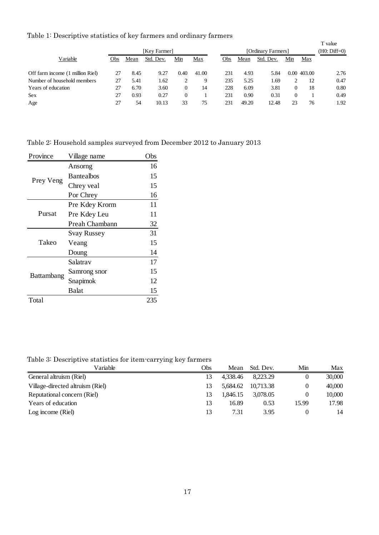Table 1: Descriptive statistics of key farmers and ordinary farmers

|                                  |     |      |              |      | $\cdot$ |     |                    |           |     |             | T value<br>(H0: Diff=0) |  |
|----------------------------------|-----|------|--------------|------|---------|-----|--------------------|-----------|-----|-------------|-------------------------|--|
|                                  |     |      | [Key Farmer] |      |         |     | [Ordinary Farmers] |           |     |             |                         |  |
| Variable                         | Obs | Mean | Std. Dev.    | Min  | Max     | Obs | Mean               | Std. Dev. | Min | Max         |                         |  |
| Off farm income (1 million Riel) | 27  | 8.45 | 9.27         | 0.40 | 41.00   | 231 | 4.93               | 5.84      |     | 0.00 403.00 | 2.76                    |  |
| Number of household members      | 27  | 5.41 | 1.62         |      | 9       | 235 | 5.25               | 1.69      |     | 12          | 0.47                    |  |
| Years of education               | 27  | 6.70 | 3.60         | 0    | 14      | 228 | 6.09               | 3.81      | 0   | 18          | 0.80                    |  |
| <b>Sex</b>                       | 27  | 0.93 | 0.27         | 0    |         | 231 | 0.90               | 0.31      | 0   |             | 0.49                    |  |
| Age                              | 27  | 54   | 10.13        | 33   | 75      | 231 | 49.20              | 12.48     | 23  | 76          | 1.92                    |  |

Table 2: Household samples surveyed from December 2012 to January 2013

| Village name       | Obs |
|--------------------|-----|
| Ansorng            | 16  |
| <b>Bantealbos</b>  | 15  |
| Chrey veal         | 15  |
| Por Chrey          | 16  |
| Pre Kdey Krorm     | 11  |
| Pre Kdey Leu       | 11  |
| Preah Chambann     | 32  |
| <b>Svay Russey</b> | 31  |
| Veang              | 15  |
| Doung              | 14  |
| Salatrav           | 17  |
| Samrong snor       | 15  |
| Snapimok           | 12  |
| Balat              | 15  |
|                    | 235 |
|                    |     |

Table 3: Descriptive statistics for item-carrying key farmers

| Variable                         | Obs | Mean     | Std. Dev. | Min      | Max    |
|----------------------------------|-----|----------|-----------|----------|--------|
| General altruism (Riel)          |     | 4.338.46 | 8.223.29  |          | 30,000 |
| Village-directed altruism (Riel) |     | 5.684.62 | 10.713.38 | 0        | 40,000 |
| Reputational concern (Riel)      | 13  | 1.846.15 | 3.078.05  | $\Omega$ | 10,000 |
| Years of education               | 13  | 16.89    | 0.53      | 15.99    | 17.98  |
| Log income $(Riel)$              | 13  | 7.31     | 3.95      |          | 14     |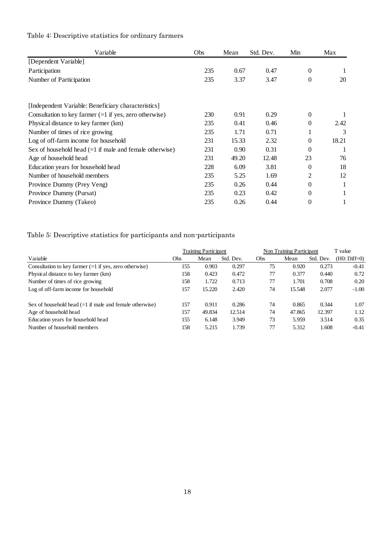| Variable                                                  | Obs | Mean  | Std. Dev. | Min            | Max   |
|-----------------------------------------------------------|-----|-------|-----------|----------------|-------|
| [Dependent Variable]                                      |     |       |           |                |       |
| Participation                                             | 235 | 0.67  | 0.47      | $\overline{0}$ |       |
| Number of Participation                                   | 235 | 3.37  | 3.47      | $\theta$       | 20    |
| [Independent Variable: Beneficiary characteristics]       |     |       |           |                |       |
| Consultation to key farmer $(=1$ if yes, zero otherwise)  | 230 | 0.91  | 0.29      | $\Omega$       |       |
| Physical distance to key farmer (km)                      | 235 | 0.41  | 0.46      | $\Omega$       | 2.42  |
| Number of times of rice growing                           | 235 | 1.71  | 0.71      |                | 3     |
| Log of off-farm income for household                      | 231 | 15.33 | 2.32      | $\Omega$       | 18.21 |
| Sex of household head $(=1$ if male and female otherwise) | 231 | 0.90  | 0.31      | $\Omega$       |       |
| Age of household head                                     | 231 | 49.20 | 12.48     | 23             | 76    |
| Education years for household head                        | 228 | 6.09  | 3.81      | $\Omega$       | 18    |
| Number of household members                               | 235 | 5.25  | 1.69      | 2              | 12    |
| Province Dummy (Prey Veng)                                | 235 | 0.26  | 0.44      | $\theta$       |       |
| Province Dummy (Pursat)                                   | 235 | 0.23  | 0.42      | $\theta$       |       |
| Province Dummy (Takeo)                                    | 235 | 0.26  | 0.44      | $\theta$       |       |

# Table 4: Descriptive statistics for ordinary farmers

Table 5: Descriptive statistics for participants and non-participants

|                                                           |     | <b>Training Participant</b> |           | Non Training Participant |        | T value   |                |
|-----------------------------------------------------------|-----|-----------------------------|-----------|--------------------------|--------|-----------|----------------|
| Variable                                                  | Obs | Mean                        | Std. Dev. | Obs                      | Mean   | Std. Dev. | $(H0: Diff=0)$ |
| Consultation to key farmer $(=1$ if yes, zero otherwise)  | 155 | 0.903                       | 0.297     | 75                       | 0.920  | 0.273     | $-0.41$        |
| Physical distance to key farmer (km)                      | 158 | 0.423                       | 0.472     | 77                       | 0.377  | 0.440     | 0.72           |
| Number of times of rice growing                           | 158 | 1.722                       | 0.713     | 77                       | 1.701  | 0.708     | 0.20           |
| Log of off-farm income for household                      | 157 | 15.220                      | 2.420     | 74                       | 15.548 | 2.077     | $-1.00$        |
| Sex of household head $(=1$ if male and female otherwise) | 157 | 0.911                       | 0.286     | 74                       | 0.865  | 0.344     | 1.07           |
| Age of household head                                     | 157 | 49.834                      | 12.514    | 74                       | 47.865 | 12.397    | 1.12           |
| Education years for household head                        | 155 | 6.148                       | 3.949     | 73                       | 5.959  | 3.514     | 0.35           |
| Number of household members                               | 158 | 5.215                       | 1.739     | 77                       | 5.312  | 1.608     | $-0.41$        |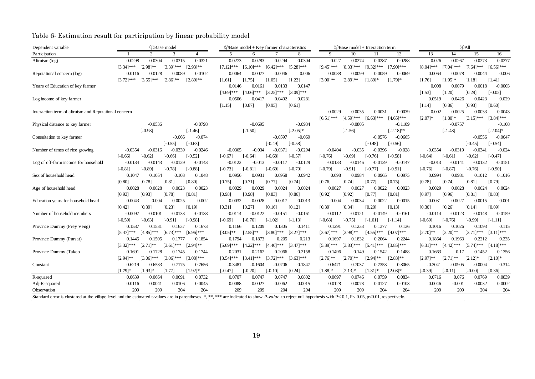Table 6: Estimation result for participation by linear probability model

| Dependent variable                                    | <b>D</b> Base model              |                               | $\oslash$ Base model + Key farmer characteristics |                |                              | 3) Base model + Interaction term    | $(4)$ All                                                      |
|-------------------------------------------------------|----------------------------------|-------------------------------|---------------------------------------------------|----------------|------------------------------|-------------------------------------|----------------------------------------------------------------|
| Participation                                         | 2                                | 3<br>4                        | 5<br>6                                            | 8              | -9<br>10                     | 12<br>11                            | 13<br>14<br>15<br>16                                           |
| Altruism (log)                                        | 0.0304<br>0.0298                 | 0.0315<br>0.0321              | 0.0273<br>0.0294<br>0.0283                        | 0.0304         | 0.027                        | 0.0274<br>0.0287<br>0.0288          | 0.026<br>0.0267<br>0.0273<br>0.0277                            |
|                                                       | $[2.98]^{**}$<br>$[3.34]$ ***    | $[3.39]$ ***<br>$[2.93]^{**}$ | $[6.10]$ ***<br>$[6.42]$ ***<br>$[7.12]$ ***      | $[5.28]$ ***   | $[9.45]$ ***<br>$[8.33]***$  | $[9.32]***$<br>$[7.90]$ ***         | $[7.04]$ ***<br>$[7.64]$ ***<br>$[6.56]^{***}$<br>$[8.04]$ *** |
| Reputational concern (log)                            | 0.0128<br>0.0116                 | 0.0089<br>0.0102              | 0.0064<br>0.0046<br>0.0077                        | 0.006          | 0.0088                       | 0.0099<br>0.0059<br>0.0069          | 0.006<br>0.0064<br>0.0078<br>0.0044                            |
|                                                       | $[3.72]$ ***<br>$[3.55]$ ***     | $[2.86]^{**}$<br>$[2.89]$ **  | [1.05]<br>[1.75]<br>[1.61]                        | [1.22]         | $[3.00]^{**}$<br>$[2.89]$ ** | $[1.89]$ *<br>$[1.79]$ *            | [1.76]<br>$[1.95]$ *<br>[1.18]<br>[1.41]                       |
| Years of Education of key farmer                      |                                  |                               | 0.0146<br>0.0161<br>0.0133                        | 0.0147         |                              |                                     | 0.0079<br>$-0.0003$<br>0.008<br>0.0018                         |
|                                                       |                                  |                               | $[4.69]$ ***<br>$[4.06]$ ***<br>$[3.25]$ ***      | $[3.09]$ ***   |                              |                                     | [1.20]<br>[0.29]<br>$[-0.05]$<br>[1.53]                        |
| Log income of key farmer                              |                                  |                               | 0.0417<br>0.0402<br>0.0506                        | 0.0281         |                              |                                     | 0.0519<br>0.0426<br>0.0423<br>0.029                            |
|                                                       |                                  |                               | [0.87]<br>[0.95]<br>[1.15]                        | [0.61]         |                              |                                     | [0.60]<br>[1.14]<br>[0.86]<br>[0.93]                           |
| Interaction term of altruism and Reputational concern |                                  |                               |                                                   |                | 0.0029                       | 0.0035<br>0.0031<br>0.0039          | 0.002<br>0.0025<br>0.0033<br>0.0043                            |
|                                                       |                                  |                               |                                                   |                | $[4.59]$ ***<br>$[6.51]$ *** | $[4.65]$ ***<br>$[6.63]***$         | $[3.84]$ ***<br>$[2.07]$ *<br>$[1.80]$ *<br>$[3.15]***$        |
| Physical distance to key farmer                       | $-0.0536$                        | $-0.0798$                     | $-0.0695$                                         | $-0.0934$      |                              | $-0.0805$<br>$-0.1109$              | $-0.0757$<br>$-0.108$                                          |
|                                                       | $[-0.98]$                        | $[-1.46]$                     | $[-1.50]$                                         | $[-2.05]*$     | $[-1.56]$                    | $[-2.18]$ **                        | $[-2.04]*$<br>$[-1.48]$                                        |
| Consultation to key farmer                            |                                  | $-0.066$<br>$-0.074$          | $-0.0597$                                         | $-0.069$       |                              | $-0.0576$<br>$-0.0665$              | $-0.0556$<br>$-0.0647$                                         |
|                                                       |                                  | $[-0.55]$<br>$[-0.63]$        | $[-0.49]$                                         | $[-0.58]$      |                              | $[-0.48]$<br>$[-0.56]$              | $[-0.45]$<br>$[-0.54]$                                         |
| Number of times of rice growing                       | $-0.0354$<br>$-0.0316$           | $-0.0339$<br>$-0.0246$        | $-0.034$<br>$-0.0371$<br>$-0.0365$                | $-0.0294$      | $-0.0404$                    | $-0.035$<br>$-0.0396$<br>$-0.028$   | $-0.0319$<br>$-0.0341$<br>$-0.024$<br>$-0.0354$                |
|                                                       | $[-0.66]$<br>$[-0.62]$           | $[-0.52]$<br>$[-0.66]$        | $[-0.68]$<br>$[-0.67]$<br>$[-0.64]$               | $[-0.57]$      | $[-0.69]$<br>$[-0.76]$       | $[-0.76]$<br>$[-0.58]$              | $[-0.61]$<br>$[-0.62]$<br>$[-0.47]$<br>$[-0.64]$               |
| Log of off-farm income for household                  | $-0.0134$<br>$-0.0143$           | $-0.0129$<br>$-0.0143$        | $-0.0122$<br>$-0.013$<br>$-0.0117$                | $-0.0129$      | $-0.0133$                    | $-0.0146$<br>$-0.0129$<br>$-0.0147$ | $-0.013$<br>$-0.0141$<br>$-0.0132$<br>$-0.0151$                |
|                                                       | $[-0.89]$<br>$[-0.81]$           | $[-0.78]$<br>$[-0.88]$        | $[-0.73]$<br>$[-0.81]$<br>$[-0.69]$               | $[-0.79]$      | $[-0.79]$<br>[-0.91]         | $[-0.77]$<br>$[-0.91]$              | $[-0.90]$<br>$[-0.76]$<br>$[-0.87]$<br>$[-0.76]$               |
| Sex of household head                                 | 0.1047<br>0.1054                 | 0.103<br>0.1048               | 0.0956<br>0.0958<br>0.0931                        | 0.0942         | 0.098                        | 0.0965<br>0.0975<br>0.0984          | 0.0994<br>0.0981<br>0.1012<br>0.1016                           |
|                                                       | [0.80]<br>[0.78]                 | [0.81]<br>[0.80]              | [0.71]<br>[0.77]<br>[0.75]                        | [0.74]         | [0.76]<br>[0.74]             | [0.77]<br>[0.75]                    | [0.79]<br>[0.78]<br>[0.81]<br>[0.74]                           |
| Age of household head                                 | 0.0028<br>0.0028                 | 0.0023<br>0.0023              | 0.0029<br>0.0029<br>0.0024                        | 0.0024         | 0.0027                       | 0.0027<br>0.0022<br>0.0023          | 0.0029<br>0.0028<br>0.0024<br>0.0024                           |
|                                                       | [0.93]<br>[0.93]                 | [0.78]<br>[0.81]              | [0.83]<br>[0.98]<br>[0.98]                        | [0.86]         | [0.92]<br>[0.92]             | [0.77]<br>[0.81]                    | [0.83]<br>[0.97]<br>[0.96]<br>[0.81]                           |
| Education years for household head                    | 0.0043<br>0.004                  | 0.0025<br>0.002               | 0.0032<br>0.0017<br>0.0028                        | 0.0013         | 0.004                        | 0.0022<br>0.0034<br>0.0015          | 0.0031<br>0.0027<br>0.0015<br>0.001                            |
|                                                       | [0.39]<br>[0.42]                 | [0.23]<br>[0.19]              | [0.27]<br>[0.16]<br>[0.31]                        | [0.12]         | [0.39]<br>[0.34]             | [0.20]<br>[0.13]                    | [0.30]<br>[0.09]<br>[0.26]<br>[0.14]                           |
| Number of household members                           | $-0.0097$<br>$-0.0101$           | $-0.0133$<br>$-0.0138$        | $-0.0122$<br>$-0.0114$<br>$-0.0151$               | $-0.0161$      | $-0.0112$                    | $-0.0149$<br>$-0.0161$<br>$-0.0121$ | $-0.0123$<br>$-0.0159$<br>-0.0114<br>$-0.0148$                 |
|                                                       | $[-0.59]$<br>$[-0.63]$           | $[-0.98]$<br>$[-0.91]$        | $[-1.02]$<br>$[-0.69]$<br>$[-0.76]$               | $[-1.13]$      | $[-0.68]$<br>$[-0.75]$       | $[-1.01]$<br>$[-1.14]$              | $[-0.99]$<br>$[-0.69]$<br>$[-0.76]$<br>$[-1.11]$               |
| Province Dummy (Prey Veng)                            | 0.1537<br>0.1531                 | 0.1637<br>0.1673              | 0.1305<br>0.1166<br>0.1209                        | 0.1411         | 0.1291                       | 0.1233<br>0.136<br>0.1377           | 0.1016<br>0.1026<br>0.1093<br>0.115                            |
|                                                       | $[5.47]$ ***<br><b>14.851***</b> | $[6.73]$ ***<br>$[6.96]$ ***  | $[2.55]^{**}$<br>$[3.80]$ ***<br>$[3.05]$ **      | $[3.27]^{***}$ | $[3.67]$ ***<br>$[2.98]$ **  | $[4.55]$ ***<br>$[4.07]$ ***        | $[3.71]$ ***<br>$[3.11]$ ***<br>$[2.70]$ **<br>$[2.20]$ **     |
| Province Dummy (Pursat)                               | 0.1445<br>0.1505                 | 0.1777<br>0.1854              | 0.1794<br>0.1873<br>0.205                         | 0.213          | 0.1697                       | 0.1832<br>0.2064<br>0.2244          | 0.2212<br>0.1864<br>0.1963<br>0.235                            |
|                                                       | $[2.71]$ **<br>$[3.32]$ ***      | $[3.61]$ ***<br>$[2.94]$ **   | $[4.40]$ ***<br>$[5.69]$ ***<br>$[4.22]$ ***      | $[3.47]$ ***   | $[3.83]$ ***<br>$[5.39]$ *** | $[5.41]$ ***<br>$[3.85]$ ***        | $[5.74]$ ***<br>$[6.31]$ ***<br>$[4.42]$ ***<br>$[4.18]$ ***   |
| Province Dummy (Takeo                                 | 0.1691<br>0.1728                 | 0.1745<br>0.1744              | 0.2031<br>0.2162<br>0.2066                        | 0.2158         | 0.1496                       | 0.149<br>0.1542<br>0.1488           | 0.1452<br>0.1663<br>0.17<br>0.1356                             |
|                                                       | $[2.94]$ **<br>$[3.06]$ ***      | $[3.06]$ ***<br>$[3.08]$ ***  | $[3.41]$ ***<br>$[3.72]***$<br>$[3.54]$ ***       | $[3.63]$ ***   | $[2.76]$ **<br>$[2.70]^{**}$ | $[2.94]$ **<br>$[2.83]^{**}$        | $[2.71]$ **<br>$[2.97]^{**}$<br>$[2.12]*$<br>$[2.10]$ *        |
| Constant                                              | 0.6583<br>0.6219                 | 0.7175<br>0.7656              | $-0.3481$<br>$-0.1604$<br>$-0.0706$               | 0.1847         | 0.6471                       | 0.7037<br>0.7353<br>0.8065          | $-0.3041$<br>$-0.0905$<br>$-0.0004$<br>0.314                   |
|                                                       | $[1.79]$ *<br>$[1.93]$ *         | [1.77]<br>$[1.92]$ *          | $[-0.47]$<br>$[-0.20]$<br>[-0.10]                 | [0.24]         | $[1.88]$ *<br>$[2.13]$ *     | $[1.81]$ *<br>$[2.08]*$             | [0.36]<br>$[-0.39]$<br>$[-0.11]$<br>$[-0.00]$                  |
| R-squared                                             | 0.0639<br>0.0664                 | 0.0691<br>0.0732              | 0.0707<br>0.0747<br>0.0747                        | 0.0802         | 0.0697                       | 0.0746<br>0.0759<br>0.0834          | 0.0839<br>0.0716<br>0.076<br>0.0769                            |
| Adj-R-squared                                         | 0.0116<br>0.0041                 | 0.0106<br>0.0045              | 0.0088<br>0.0027<br>0.0062                        | 0.0015         | 0.0128                       | 0.0078<br>0.0127<br>0.0103          | 0.0002<br>$-0.001$<br>0.0032<br>0.0046                         |
| Observation                                           | 209<br>209                       | 204<br>204                    | 209<br>209<br>204                                 | 204            | 209                          | 209<br>204<br>204                   | 209<br>209<br>204<br>204                                       |

Standard error is clustered at the village level and the estimated t-values are in parentheses. \*, \*\*, \*\*\* are indicated to show *P-value* to reject null hypothesis with P< 0.1, P< 0.05, p<0.01, respectively.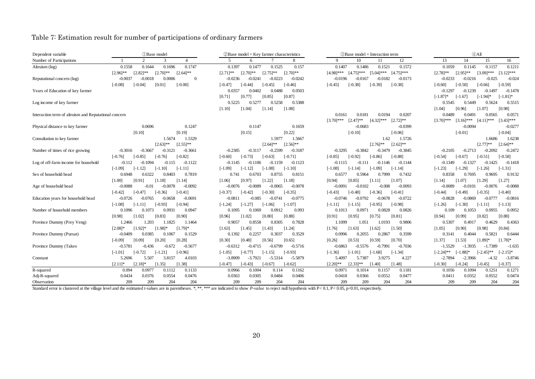# Table 7: Estimation result for number of participations of ordinary farmers

| Dependent variable                                    | (1) Base model           | $\oslash$ Base model + Key farmer characteristics | 3) Base model + Interaction term                           | $(4)$ All                                                    |
|-------------------------------------------------------|--------------------------|---------------------------------------------------|------------------------------------------------------------|--------------------------------------------------------------|
| Number of Participations                              | $\overline{2}$<br>3<br>4 | 8<br>6                                            | 10<br>11<br>12<br>9                                        | 15<br>16<br>13<br>14                                         |
| Altruism $(\log)$                                     | 0.1696                   | 0.1477                                            | 0.1407                                                     | 0.1059                                                       |
|                                                       | 0.1558                   | 0.1525                                            | 0.1486                                                     | 0.1157                                                       |
|                                                       | 0.1644                   | 0.1397                                            | 0.1521                                                     | 0.1145                                                       |
|                                                       | 0.1747                   | 0.157                                             | 0.1572                                                     | 0.1211                                                       |
|                                                       | $[2.70]$ **              | $[2.75]$ **                                       | $[4.75]$ ***                                               | $[2.95]$ **                                                  |
|                                                       | $[2.96]$ **              | $[2.70]$ **                                       | $[5.04]$ ***                                               | $[3.09]$ ***                                                 |
|                                                       | $[2.82]$ **              | $[2.71]$ **                                       | $[4.75]***$                                                | $[3.12]$ ***                                                 |
|                                                       | $[2.64]$ **              | $[2.70]$ **                                       | $[4.98]$ ***                                               | $[2.78]$ **                                                  |
| Reputational concern (log)                            | 0.0006                   | $-0.0236$                                         | $-0.0182$                                                  | $-0.0216$                                                    |
|                                                       | $-0.0037$                | $-0.0241$                                         | $-0.0196$                                                  | $-0.025$                                                     |
|                                                       | $-0.0018$                | $-0.0223$                                         | $-0.0167$                                                  | $-0.024$                                                     |
|                                                       | $\overline{0}$           | $-0.0242$                                         | $-0.0173$                                                  | $-0.0233$                                                    |
|                                                       | $[-0.00]$                | $[-0.47]$                                         | $[-0.38]$                                                  | $[-0.59]$                                                    |
|                                                       | $[-0.08]$                | $[-0.44]$                                         | $[-0.38]$                                                  | $[-0.60]$                                                    |
|                                                       | $[-0.04]$                | $[-0.45]$                                         | $[-0.45]$                                                  | $[-0.50]$                                                    |
|                                                       | [0.01]                   | $[-0.46]$                                         | $[-0.39]$                                                  | $[-0.66]$                                                    |
| Years of Education of key farmer                      |                          | 0.0503<br>0.0357<br>0.0402<br>0.0488              |                                                            | $-0.1239$<br>$-0.1478$<br>$-0.1297$<br>$-0.1497$             |
|                                                       |                          | [0.85]<br>[0.87]<br>[0.71]<br>[0.77]              |                                                            | $[-1.87]$ *<br>$[-1.94]$ *<br>$[-1.81]$ *<br>$[-1.67]$       |
| Log income of key farmer                              |                          | 0.5225<br>0.5277<br>0.5258<br>0.5388              |                                                            | 0.5545<br>0.5449<br>0.5624<br>0.5515                         |
|                                                       |                          | [1.10]<br>[1.08]<br>[1.04]<br>[1.14]              |                                                            | [0.98]<br>[1.04]<br>[0.96]<br>[1.07]                         |
| Interaction term of altruism and Reputational concern |                          |                                                   | 0.0161<br>0.0207<br>0.0181<br>0.0194                       | 0.0571<br>0.0489<br>0.0491<br>0.0565                         |
|                                                       |                          |                                                   | $[2.47]$ **<br>$[3.70]$ ***<br>$[4.32]$ ***<br>$[2.72]$ ** | $[3.16]$ ***<br>$[3.43]$ ***<br>$[4.11]$ ***<br>$[3.70]$ *** |
| Physical distance to key farmer                       | 0.0696                   | 0.1147                                            | $-0.0683$                                                  | $-0.0094$                                                    |
|                                                       | 0.1247                   | 0.1659                                            | $-0.0399$                                                  | $-0.0277$                                                    |
|                                                       | [0.19]                   | [0.22]                                            | $[-0.10]$                                                  | $[-0.01]$                                                    |
|                                                       | [0.10]                   | [0.15]                                            | $[-0.06]$                                                  | $[-0.04]$                                                    |
| Consultation to key farmer                            | 1.5674                   | 1.5977                                            | 1.62                                                       | 1.6238                                                       |
|                                                       | 1.5329                   | 1.5667                                            | 1.5726                                                     | 1.6686                                                       |
|                                                       | $[2.55]$ **              | $[2.64]$ **                                       | $[2.76]$ **                                                | $[2.77]$ **                                                  |
|                                                       | $[2.63]$ **              | $[2.56]$ **                                       | $[2.62]$ **                                                | $[2.64]$ **                                                  |
| Number of times of rice growing                       | $-0.3016$                | $-0.2385$                                         | $-0.3295$                                                  | $-0.2713$                                                    |
|                                                       | $-0.3667$                | $-0.3117$                                         | $-0.3842$                                                  | $-0.2472$                                                    |
|                                                       | $-0.3121$                | $-0.2599$                                         | $-0.3479$                                                  | $-0.2105$                                                    |
|                                                       | $-0.3661$                | $-0.3187$                                         | $-0.3845$                                                  | $-0.2092$                                                    |
|                                                       | $[-0.85]$                | $[-0.73]$                                         | $[-0.92]$                                                  | $[-0.51]$                                                    |
|                                                       | $[-0.82]$                | $[-0.60]$                                         | $[-0.86]$                                                  | $[-0.58]$                                                    |
|                                                       | $[-0.76]$                | $[-0.63]$                                         | $[-0.88]$                                                  | $[-0.54]$                                                    |
|                                                       | $[-0.76]$                | $[-0.71]$                                         | $[-0.85]$                                                  | $[-0.67]$                                                    |
| Log of off-farm income for household                  | $-0.112$                 | $-0.1145$                                         | $-0.1115$                                                  | $-0.1327$                                                    |
|                                                       | $-0.1094$                | $-0.1106$                                         | $-0.111$                                                   | $-0.1425$                                                    |
|                                                       | $-0.115$                 | $-0.1159$                                         | $-0.1146$                                                  | $-0.1418$                                                    |
|                                                       | $-0.1122$                | $-0.1123$                                         | $-0.1144$                                                  | -0.1349                                                      |
|                                                       | $[-1.09]$                | $[-1.09]$                                         | $[-1.08]$                                                  | $[-1.29]$                                                    |
|                                                       | $[-1.12]$                | $[-1.12]$                                         | $[-1.14]$                                                  | $[-1.23]$                                                    |
|                                                       | $[-1.10]$                | $[-1.08]$                                         | $[-1.14]$                                                  | $[-1.26]$                                                    |
|                                                       | $[-1.11]$                | $[-1.10]$                                         | $[-1.09]$                                                  | $[-1.31]$                                                    |
| Sex of household head                                 | 0.6948                   | 0.8151                                            | 0.5964                                                     | 0.8358                                                       |
|                                                       | 0.8403                   | 0.741                                             | 0.7999                                                     | 0.7695                                                       |
|                                                       | 0.7819                   | 0.6703                                            | 0.6577                                                     | 0.9695                                                       |
|                                                       | 0.6322                   | 0.8755                                            | 0.7432                                                     | 0.9132                                                       |
|                                                       | [1.00]                   | [1.22]                                            | [1.07]                                                     | [1.29]                                                       |
|                                                       | [0.91]                   | [1.18]                                            | [0.94]                                                     | [1.27]                                                       |
|                                                       | [1.14]                   | [1.06]                                            | [0.85]                                                     | [1.14]                                                       |
|                                                       | [1.18]                   | [0.97]                                            | [1.11]                                                     | [1.07]                                                       |
| Age of household head                                 | $-0.0088$                | $-0.0076$                                         | $-0.0091$                                                  | $-0.0089$                                                    |
|                                                       | $-0.0078$                | $-0.0089$                                         | $-0.0102$                                                  | $-0.0076$                                                    |
|                                                       | $-0.0092$                | $-0.0065$                                         | $-0.008$                                                   | $-0.0088$                                                    |
|                                                       | $-0.01$                  | $-0.0078$                                         | $-0.0093$                                                  | $-0.0101$                                                    |
|                                                       | $[-0.42]$                | $[-0.37]$                                         | $[-0.48]$                                                  | $[-0.49]$                                                    |
|                                                       | $[-0.36]$                | $[-0.42]$                                         | $[-0.36]$                                                  | $[-0.35]$                                                    |
|                                                       | $[-0.41]$                | $[-0.30]$                                         | $[-0.41]$                                                  | $[-0.40]$                                                    |
|                                                       | $[-0.47]$                | $[-0.35]$                                         | $[-0.43]$                                                  | $[-0.44]$                                                    |
| Education years for household head                    | $-0.0726$                | $-0.0811$                                         | $-0.0746$                                                  | $-0.0828$                                                    |
|                                                       | $-0.0765$                | $-0.085$                                          | $-0.0792$                                                  | $-0.0869$                                                    |
|                                                       | $-0.0658$                | $-0.0741$                                         | $-0.0678$                                                  | $-0.0777$                                                    |
|                                                       | $-0.0691$                | $-0.0775$                                         | $-0.0722$                                                  | $-0.0816$                                                    |
|                                                       | $[-1.08]$                | $[-1.27]$                                         | $[-0.95]$                                                  | $[-1.30]$                                                    |
|                                                       | $[-1.11]$                | $[-1.07]$                                         | $[-0.98]$                                                  | $[-1.26]$                                                    |
|                                                       | $[-0.93]$                | $[-1.24]$                                         | $[-1.15]$                                                  | $[-1.11]$                                                    |
|                                                       | $[-0.94]$                | $[-1.06]$                                         | $[-1.11]$                                                  | $[-1.13]$                                                    |
| Number of household members                           | 0.0931                   | 0.093                                             | 0.0828                                                     | 0.0955                                                       |
|                                                       | 0.1096                   | 0.1095                                            | 0.1013                                                     | 0.0952                                                       |
|                                                       | 0.1073                   | 0.1069                                            | 0.0971                                                     | 0.109                                                        |
|                                                       | 0.0947                   | 0.0912                                            | 0.0826                                                     | 0.1053                                                       |
|                                                       | [1.02]                   | [0.80]                                            | [0.95]                                                     | [0.82]                                                       |
|                                                       | [0.98]                   | [1.02]                                            | [0.75]                                                     | [0.99]                                                       |
|                                                       | [0.83]                   | [0.88]                                            | [0.81]                                                     | [0.88]                                                       |
|                                                       | [0.90]                   | [0.96]                                            | [0.91]                                                     | [0.94]                                                       |
| Province Dummy (Prey Veng)                            | 1.2466                   | 0.8305                                            | 1.1099                                                     | 0.4363                                                       |
|                                                       | 1.203                    | 0.9057                                            | 1.051                                                      | 0.5307                                                       |
|                                                       | 1.1825                   | 0.8558                                            | 1.0193                                                     | 0.4917                                                       |
|                                                       | 1.1464                   | 0.7828                                            | 0.9806                                                     | 0.4629                                                       |
|                                                       | $[2.08]*$                | [1.43]                                            | [1.63]                                                     | [0.98]                                                       |
|                                                       | $[1.92]*$                | [1.24]                                            | [1.62]                                                     | [0.84]                                                       |
|                                                       | $[1.98]$ *               | [1.63]                                            | [1.50]                                                     | [1.05]                                                       |
|                                                       | $[1.79]$ *               | [1.45]                                            | [1.76]                                                     | [0.90]                                                       |
| Province Dummy (Pursat)                               | 0.1529                   | 0.1392                                            | 0.2867                                                     | 0.4044                                                       |
|                                                       | $-0.0409$                | 0.2257                                            | 0.2055                                                     | 0.5821                                                       |
|                                                       | 0.0385                   | 0.3037                                            | 0.3599                                                     | 0.6444                                                       |
|                                                       | 0.1067                   | 0.3529                                            | 0.0996                                                     | 0.3141                                                       |
|                                                       | [0.20]                   | [0.30]                                            | [0.59]                                                     | $[1.78]$ *                                                   |
|                                                       | [0.28]                   | [0.48]                                            | [0.70]                                                     | [1.37]                                                       |
|                                                       | [0.09]                   | [0.56]                                            | [0.53]                                                     | [1.53]                                                       |
|                                                       | $[-0.09]$                | [0.65]                                            | [0.26]                                                     | $[1.89]$ *                                                   |
| Province Dummy (Takeo                                 | $-0.5781$                | $-0.6799$                                         | $-0.6863$                                                  | $-1.5529$                                                    |
|                                                       | $-0.436$                 | $-0.5716$                                         | $-0.5576$                                                  | $-1.3935$                                                    |
|                                                       | $-0.672$                 | $-0.6312$                                         | $-0.7991$                                                  | $-1.7389$                                                    |
|                                                       | $-0.5677$                | $-0.4715$                                         | $-0.7036$                                                  | $-1.635$                                                     |
|                                                       | $[-0.72]$                | $[-0.93]$                                         | $[-1.34]$                                                  | $[-1.88]$ *                                                  |
|                                                       | $[-1.21]$                | $[-0.77]$                                         | $[-1.68]$                                                  | $[-2.45]$ **                                                 |
|                                                       | $[-0.96]$                | $[-1.15]$                                         | $[-1.36]$                                                  | $[-2.15]*$                                                   |
|                                                       | $[-1.01]$                | $[-1.05]$                                         | $[-1.01]$                                                  | $[-2.24]$ **                                                 |
| Constant                                              | 5.2696                   | $-3.8909$                                         | 5.4097                                                     | $-4.32$                                                      |
|                                                       | 5.507                    | $-3.7921$                                         | 5.7387                                                     | $-2.7894$                                                    |
|                                                       | 3.8157                   | $-5.5314$                                         | 3.9275                                                     | $-2.3966$                                                    |
|                                                       | 4.0103                   | $-5.5879$                                         | 4.227                                                      | $-3.8746$                                                    |
|                                                       | [1.38]                   | $[-0.62]$                                         | [1.48]                                                     | $[-0.37]$                                                    |
|                                                       | $[2.11]*$                | $[-0.47]$                                         | $[2.20]$ **                                                | $[-0.30]$                                                    |
|                                                       | $[2.18]$ *               | $-0.43$ ]                                         | $[2.33]$ **                                                | $-0.24$ ]                                                    |
|                                                       | [1.35]                   | $[-0.67]$                                         | [1.40]                                                     | $[-0.45]$                                                    |
| R-squared                                             | 0.094                    | 0.0966                                            | 0.0971                                                     | 0.1094                                                       |
|                                                       | 0.0977                   | 0.1004                                            | 0.1014                                                     | 0.1251                                                       |
|                                                       | 0.1112                   | 0.114                                             | 0.1157                                                     | 0.1271                                                       |
|                                                       | 0.1133                   | 0.1162                                            | 0.1181                                                     | 0.1056                                                       |
| Adj-R-squared                                         | 0.0376                   | 0.0363                                            | 0.0477                                                     | 0.0474                                                       |
|                                                       | 0.0476                   | 0.0305                                            | 0.0366                                                     | 0.0352                                                       |
|                                                       | 0.0434                   | 0.0484                                            | 0.0552                                                     | 0.0552                                                       |
|                                                       | 0.0554                   | 0.0406                                            | 0.0418                                                     | 0.0411                                                       |
| Observation                                           | 209                      | 209                                               | 209                                                        | 209                                                          |
|                                                       | 209                      | 209                                               | 204                                                        | 209                                                          |
|                                                       | 204                      | 204                                               | 204                                                        | 204                                                          |
|                                                       | 204                      | 204                                               | 209                                                        | 204                                                          |

Standard error is clustered at the village level and the estimated t-values are in parentheses. \*, \*\*, \*\*\* are indicated to show *P-value* to reject null hypothesis with P< 0.1, P< 0.05, p< 0.01, respectively.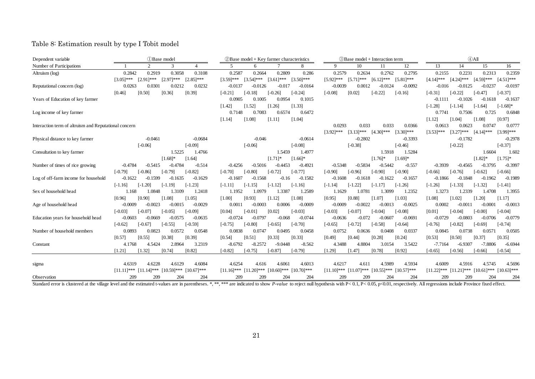### Table 8: Estimation result by type I Tobit model

| Dependent variable                                    |               | (1) Base model |               |               |                           |              | 2Base model + Key farmer characteristics |                             | <b>3Base model + Interaction term</b> |              |              | $\bigoplus$ All             |              |                                        |              |               |
|-------------------------------------------------------|---------------|----------------|---------------|---------------|---------------------------|--------------|------------------------------------------|-----------------------------|---------------------------------------|--------------|--------------|-----------------------------|--------------|----------------------------------------|--------------|---------------|
| Number of Participations                              |               | 2              | 3             |               | 5                         | 6            |                                          | 8                           | 9                                     | 10           | 11           | 12                          | 13           | 14                                     | 15           | 16            |
| Altruism (log)                                        | 0.2842        | 0.2919         | 0.3058        | 0.3108        | 0.2587                    | 0.2664       | 0.2809                                   | 0.286                       | 0.2579                                | 0.2634       | 0.2762       | 0.2795                      | 0.2155       | 0.2231                                 | 0.2313       | 0.2359        |
|                                                       | $[3.05]***$   | $[2.91]$ ***   | $[2.97]$ ***  | $[2.85]$ ***  | $[3.59]$ ***              | $[3.54]$ *** | $[3.61]$ ***                             | $[3.50]$ ***                | $[5.92]$ ***                          | $[5.71]$ *** | $[6.12]$ *** | $[5.81]$ ***                | $[4.14]$ *** | $[4.24]$ ***                           | $[4.59]$ *** | $[4.51]$ ***  |
| Reputational concern (log)                            | 0.0263        | 0.0301         | 0.0212        | 0.0232        | $-0.0137$                 | $-0.0126$    | $-0.017$                                 | $-0.0164$                   | $-0.0039$                             | 0.0012       | $-0.0124$    | $-0.0092$                   | $-0.016$     | $-0.0125$                              | $-0.0237$    | $-0.0197$     |
|                                                       | [0.46]        | [0.50]         | [0.36]        | [0.39]        | $[-0.21]$                 | $[-0.18]$    | $[-0.26]$                                | $[-0.24]$                   | $[-0.08]$                             | [0.02]       | $[-0.22]$    | $[-0.16]$                   | $[-0.31]$    | $[-0.22]$                              | $[-0.47]$    | $[-0.37]$     |
| Years of Education of key farmer                      |               |                |               |               | 0.0905                    | 0.1005       | 0.0954                                   | 0.1015                      |                                       |              |              |                             | $-0.1111$    | $-0.1026$                              | $-0.1618$    | $-0.1637$     |
|                                                       |               |                |               |               | [1.42]                    | [1.52]       | [1.26]                                   | [1.33]                      |                                       |              |              |                             | $[-1.28]$    | $[-1.14]$                              | $[-1.64]$    | $[-1.68]*$    |
| Log income of key farmer                              |               |                |               |               | 0.7148                    | 0.7083       | 0.6574                                   | 0.6472                      |                                       |              |              |                             | 0.7741       | 0.7506                                 | 0.725        | 0.6848        |
|                                                       |               |                |               |               | [1.14]                    | [1.08]       | [1.11]                                   | [1.04]                      |                                       |              |              |                             | [1.12]       | [1.04]                                 | [1.08]       | [0.97]        |
| Interaction term of altruism and Reputational concern |               |                |               |               |                           |              |                                          |                             | 0.0293                                | 0.033        | 0.033        | 0.0366                      | 0.0613       | 0.0623                                 | 0.0747       | 0.0777        |
|                                                       |               |                |               |               |                           |              |                                          |                             | $[3.92]$ ***                          | $[3.13]$ *** | $[4.30]$ *** | $[3.30]$ ***                | $[3.53]$ *** | $[3.27]$ ***                           | $[4.14]$ *** | [3.99]***     |
| Physical distance to key farmer                       |               | $-0.0461$      |               | $-0.0684$     |                           | $-0.046$     |                                          | $-0.0614$                   |                                       | $-0.2802$    |              | $-0.3393$                   |              | $-0.1782$                              |              | $-0.2978$     |
|                                                       |               | $[-0.06]$      |               | $[-0.09]$     |                           | $[-0.06]$    |                                          | $[-0.08]$                   |                                       | $[-0.38]$    |              | $[-0.46]$                   |              | $[-0.22]$                              |              | $[-0.37]$     |
| Consultation to key farmer                            |               |                | 1.5225        | 1.4766        |                           |              | 1.5459                                   | 1.4977                      |                                       |              | 1.5918       | 1.5284                      |              |                                        | 1.6604       | 1.602         |
|                                                       |               |                | $[1.68]$ *    | [1.64]        |                           |              | $[1.71]$ *                               | $[1.66]$ *                  |                                       |              | $[1.76]$ *   | $[1.69]$ *                  |              |                                        | $[1.82]$ *   | $[1.75]$ *    |
| Number of times of rice growing                       | $-0.4784$     | $-0.5415$      | $-0.4784$     | $-0.514$      | $-0.4256$                 | $-0.5016$    | $-0.4453$                                | $-0.4921$                   | $-0.5348$                             | $-0.5834$    | $-0.5442$    | $-0.557$                    | $-0.3939$    | $-0.4565$                              | $-0.3795$    | $-0.3997$     |
|                                                       | $[-0.79]$     | $[-0.86]$      | $[-0.79]$     | $[-0.82]$     | $[-0.70]$                 | $[-0.80]$    | $[-0.72]$                                | $[-0.77]$                   | $[-0.90]$                             | $[-0.96]$    | $[-0.90]$    | $[-0.90]$                   | $[-0.66]$    | $[-0.76]$                              | $[-0.62]$    | $[-0.66]$     |
| Log of off-farm income for household                  | $-0.1622$     | $-0.1599$      | $-0.1635$     | $-0.1629$     | $-0.1607$                 | $-0.1568$    | $-0.16$                                  | $-0.1582$                   | $-0.1608$                             | $-0.1618$    | $-0.1622$    | $-0.1657$                   | $-0.1866$    | $-0.1848$                              | $-0.1962$    | $-0.1989$     |
|                                                       | $[-1.16]$     | $[-1.20]$      | $[-1.19]$     | $[-1.23]$     | $[-1.11]$                 | $[-1.15]$    | $[-1.12]$                                | $[-1.16]$                   | $[-1.14]$                             | $[-1.22]$    | $[-1.17]$    | $[-1.26]$                   | $[-1.26]$    | $[-1.33]$                              | $[-1.32]$    | $[-1.41]$     |
| Sex of household head                                 | 1.168         | 1.0848         | 1.3109        | 1.2418        | 1.1952                    | 1.0979       | 1.3387                                   | 1.2589                      | 1.1629                                | 1.0781       | 1.3099       | 1.2352                      | 1.3273       | 1.2339                                 | 1.4708       | 1.3955        |
|                                                       | [0.96]        | [0.90]         | [1.08]        | [1.05]        | [1.00]                    | [0.93]       | [1.12]                                   | [1.08]                      | [0.95]                                | [0.88]       | [1.07]       | [1.03]                      | [1.08]       | [1.02]                                 | [1.20]       | [1.17]        |
| Age of household head                                 | $-0.0009$     | $-0.0023$      | $-0.0015$     | $-0.0029$     | 0.0011                    | $-0.0003$    | 0.0006                                   | $-0.0009$                   | $-0.0009$                             | $-0.0022$    | $-0.0013$    | $-0.0025$                   | 0.0002       | $-0.0011$                              | $-0.0001$    | $-0.0013$     |
|                                                       | $[-0.03]$     | $[-0.07]$      | $[-0.05]$     | $[-0.09]$     | [0.04]                    | $[-0.01]$    | [0.02]                                   | $[-0.03]$                   | $[-0.03]$                             | $[-0.07]$    | $[-0.04]$    | $[-0.08]$                   | [0.01]       | $[-0.04]$                              | $[-0.00]$    | $[-0.04]$     |
| Education years for household head                    | $-0.0603$     | $-0.0669$      | $-0.0575$     | $-0.0635$     | $-0.0724$                 | $-0.0797$    | $-0.068$                                 | $-0.0744$                   | $-0.0636$                             | $-0.072$     | $-0.0607$    | $-0.0691$                   | $-0.0729$    | $-0.0803$                              | $-0.0706$    | $-0.0779$     |
|                                                       | $[-0.62]$     | $[-0.67]$      | $[-0.55]$     | $[-0.59]$     | $[-0.75]$                 | $[-0.80]$    | $[-0.65]$                                | $[-0.70]$                   | $[-0.65]$                             | $[-0.72]$    | $[-0.58]$    | $[-0.64]$                   | $[-0.76]$    | $[-0.82]$                              | $[-0.69]$    | $[-0.74]$     |
| Number of household members                           | 0.0893        | 0.0823         | 0.0572        | 0.0548        | 0.0838                    | 0.0747       | 0.0495                                   | 0.0458                      | 0.0752                                | 0.0636       | 0.0408       | 0.0337                      | 0.0845       | 0.0738                                 | 0.0571       | 0.0505        |
|                                                       | [0.57]        | [0.55]         | [0.38]        | [0.39]        | [0.54]                    | [0.51]       | [0.33]                                   | [0.33]                      | [0.49]                                | [0.44]       | [0.28]       | [0.24]                      | [0.53]       | [0.50]                                 | [0.37]       | [0.35]        |
| Constant                                              | 4.1768        | 4.5424         | 2.8964        | 3.2319        | $-8.6792$                 | $-8.2572$    | $-9.0448$                                | $-8.562$                    | 4.3488                                | 4.8804       | 3.0154       | 3.5422                      | $-7.7164$    | $-6.9307$                              | $-7.8806$    | $-6.6944$     |
|                                                       | [1.21]        | [1.32]         | [0.74]        | [0.82]        | $[-0.82]$                 | $[-0.75]$    | $-0.87$                                  | $[-0.79]$                   | [1.29]                                | [1.47]       | [0.78]       | [0.92]                      | $[-0.65]$    | $[-0.56]$                              | $[-0.66]$    | $[-0.54]$     |
|                                                       |               |                |               |               |                           |              |                                          |                             |                                       |              |              |                             |              |                                        |              |               |
| sigma                                                 | 4.6319        | 4.6228         | 4.6129        | 4.6084        | 4.6254                    | 4.616        | 4.6061                                   | 4.6013                      | 4.6217                                | 4.611        | 4.5989       | 4.5934                      | 4.6009       | 4.5916                                 | 4.5745       | 4.5696        |
|                                                       | $[11.11]$ *** | $[11.14]$ ***  | $[10.59]$ *** | $[10.67]$ *** | $[11.16]***$ $[11.20]***$ |              |                                          | $[10.60]$ *** $[10.70]$ *** | $[11.10]$ ***                         | $[11.07]***$ |              | $[10.55]$ *** $[10.57]$ *** |              | $[11.22]***$ $[11.21]***$ $[10.61]***$ |              | $[10.63]$ *** |
| Observation                                           | 209           | 209            | 204           | 204           | 209                       | 209          | 204                                      | 204                         | 209                                   | 209          | 204          | 204                         | 209          | 209                                    | 204          | 204           |

Standard error is clustered at the village level and the estimated t-values are in parentheses. \*,\*\*,\*\*\*\* are indicated to show P-value to reject null hypothesis with P<0.1, P<0.05, p<0.01, respectively. All regressions in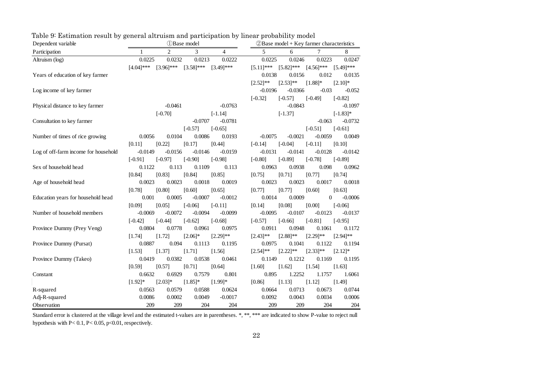| Dependent variable                   |              |              | <b><i>OBase</i></b> model |              |               | $(2)$ Base model + Key farmer characteristics |               |              |  |  |  |  |
|--------------------------------------|--------------|--------------|---------------------------|--------------|---------------|-----------------------------------------------|---------------|--------------|--|--|--|--|
| Participation                        | 1            | 2            | 3                         | 4            | 5             | 6                                             |               | 8            |  |  |  |  |
| Altruism (log)                       | 0.0225       | 0.0232       | 0.0213                    | 0.0222       | 0.0225        | 0.0246                                        | 0.0223        | 0.0247       |  |  |  |  |
|                                      | $[4.04]$ *** | $[3.96]$ *** | $[3.58]$ ***              | $[3.49]$ *** | $[5.11]$ ***  | $[5.82]$ ***                                  | $[4.56]$ ***  | $[5.49]$ *** |  |  |  |  |
| Years of education of key farmer     |              |              |                           |              | 0.0138        | 0.0156                                        | 0.012         | 0.0135       |  |  |  |  |
|                                      |              |              |                           |              | $[2.52]^{**}$ | $[2.53]$ **                                   | $[1.88]$ *    | $[2.10]$ *   |  |  |  |  |
| Log income of key farmer             |              |              |                           |              | $-0.0196$     | $-0.0366$                                     | $-0.03$       | $-0.052$     |  |  |  |  |
|                                      |              |              |                           |              | $[-0.32]$     | $[-0.57]$                                     | $[-0.49]$     | $[-0.82]$    |  |  |  |  |
| Physical distance to key farmer      |              | $-0.0461$    |                           | $-0.0763$    |               | $-0.0843$                                     |               | $-0.1097$    |  |  |  |  |
|                                      |              | $[-0.70]$    |                           | $[-1.14]$    |               | $[-1.37]$                                     |               | $[-1.83]$ *  |  |  |  |  |
| Consultation to key farmer           |              |              | $-0.0707$                 | $-0.0781$    |               |                                               | $-0.063$      | $-0.0732$    |  |  |  |  |
|                                      |              |              | $[-0.57]$                 | $[-0.65]$    |               |                                               | $[-0.51]$     | $[-0.61]$    |  |  |  |  |
| Number of times of rice growing      | 0.0056       | 0.0104       | 0.0086                    | 0.0193       | $-0.0075$     | $-0.0021$                                     | $-0.0059$     | 0.0049       |  |  |  |  |
|                                      | [0.11]       | [0.22]       | [0.17]                    | [0.44]       | $[-0.14]$     | $[-0.04]$                                     | $[-0.11]$     | [0.10]       |  |  |  |  |
| Log of off-farm income for household | $-0.0149$    | $-0.0156$    | $-0.0146$                 | $-0.0159$    | $-0.0131$     | $-0.0141$                                     | $-0.0128$     | $-0.0142$    |  |  |  |  |
|                                      | $[-0.91]$    | $[-0.97]$    | $[-0.90]$                 | $[-0.98]$    | $[-0.80]$     | $[-0.89]$                                     | $[-0.78]$     | $[-0.89]$    |  |  |  |  |
| Sex of household head                | 0.1122       | 0.113        | 0.1109                    | 0.113        | 0.0963        | 0.0938                                        | 0.098         | 0.0962       |  |  |  |  |
|                                      | [0.84]       | [0.83]       | [0.84]                    | [0.85]       | [0.75]        | [0.71]                                        | [0.77]        | [0.74]       |  |  |  |  |
| Age of household head                | 0.0023       | 0.0023       | 0.0018                    | 0.0019       | 0.0023        | 0.0023                                        | 0.0017        | 0.0018       |  |  |  |  |
|                                      | [0.78]       | [0.80]       | [0.60]                    | [0.65]       | [0.77]        | [0.77]                                        | [0.60]        | [0.63]       |  |  |  |  |
| Education years for household head   | 0.001        | 0.0005       | $-0.0007$                 | $-0.0012$    | 0.0014        | 0.0009                                        | $\theta$      | $-0.0006$    |  |  |  |  |
|                                      | [0.09]       | [0.05]       | $[-0.06]$                 | $[-0.11]$    | [0.14]        | [0.08]                                        | [0.00]        | $[-0.06]$    |  |  |  |  |
| Number of household members          | $-0.0069$    | $-0.0072$    | $-0.0094$                 | $-0.0099$    | $-0.0095$     | $-0.0107$                                     | $-0.0123$     | $-0.0137$    |  |  |  |  |
|                                      | $[-0.42]$    | $[-0.44]$    | $[-0.62]$                 | $[-0.68]$    | $[-0.57]$     | $[-0.66]$                                     | $[-0.81]$     | $[-0.95]$    |  |  |  |  |
| Province Dummy (Prey Veng)           | 0.0804       | 0.0778       | 0.0961                    | 0.0975       | 0.0911        | 0.0948                                        | 0.1061        | 0.1172       |  |  |  |  |
|                                      | [1.74]       | [1.72]       | $[2.06]$ *                | $[2.29]$ **  | $[2.43]^{**}$ | $[2.88]$ **                                   | $[2.29]$ **   | $[2.94]$ **  |  |  |  |  |
| Province Dummy (Pursat)              | 0.0887       | 0.094        | 0.1113                    | 0.1195       | 0.0975        | 0.1041                                        | 0.1122        | 0.1194       |  |  |  |  |
|                                      | [1.53]       | [1.37]       | [1.71]                    | [1.56]       | $[2.54]^{**}$ | $[2.22]^{**}$                                 | $[2.33]^{**}$ | $[2.12]*$    |  |  |  |  |
| Province Dummy (Takeo)               | 0.0419       | 0.0382       | 0.0538                    | 0.0461       | 0.1149        | 0.1212                                        | 0.1169        | 0.1195       |  |  |  |  |
|                                      | [0.59]       | [0.57]       | [0.71]                    | [0.64]       | [1.60]        | [1.62]                                        | [1.54]        | [1.63]       |  |  |  |  |
| Constant                             | 0.6632       | 0.6929       | 0.7579                    | 0.801        | 0.895         | 1.2252                                        | 1.1757        | 1.6061       |  |  |  |  |
|                                      | $[1.92]*$    | $[2.03]*$    | $[1.85]$ *                | $[1.99]$ *   | [0.86]        | [1.13]                                        | [1.12]        | [1.49]       |  |  |  |  |
| R-squared                            | 0.0563       | 0.0579       | 0.0588                    | 0.0624       | 0.0664        | 0.0713                                        | 0.0673        | 0.0744       |  |  |  |  |
| Adj-R-squared                        | 0.0086       | 0.0002       | 0.0049                    | $-0.0017$    | 0.0092        | 0.0043                                        | 0.0034        | 0.0006       |  |  |  |  |
| Observation                          | 209          | 209          | 204                       | 204          | 209           | 209                                           | 204           | 204          |  |  |  |  |

Table 9: Estimation result by general altruism and participation by linear probability model

Standard error is clustered at the village level and the estimated t-values are in parentheses. \*, \*\*, \*\*\* are indicated to show P-value to reject null hypothesis with  $P < 0.1$ ,  $P < 0.05$ ,  $p < 0.01$ , respectively.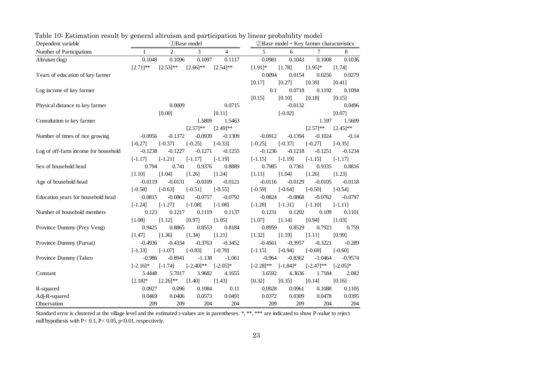| Dependent variable                   |             |             | <b>D</b> Base model |             | $\oslash$ Base model + Key farmer characteristics |             |              |             |  |  |
|--------------------------------------|-------------|-------------|---------------------|-------------|---------------------------------------------------|-------------|--------------|-------------|--|--|
| Number of Participations             | 1           | 2           | 3                   | 4           | 5                                                 | 6           |              | 8           |  |  |
| Altruism (log)                       | 0.1048      | 0.1096      | 0.1097              | 0.1117      | 0.0981                                            | 0.1043      | 0.1008       | 0.1036      |  |  |
|                                      | $[2.71]$ ** | $[2.53]$ ** | $[2.66]$ **         | $[2.54]$ ** | $[1.91]$ *                                        | [1.78]      | $[1.95]$ *   | [1.74]      |  |  |
| Years of education of key farmer     |             |             |                     |             | 0.0094                                            | 0.0154      | 0.0256       | 0.0279      |  |  |
|                                      |             |             |                     |             | [0.17]                                            | [0.27]      | [0.39]       | [0.41]      |  |  |
| Log income of key farmer             |             |             |                     |             | 0.1                                               | 0.0718      | 0.1192       | 0.1094      |  |  |
|                                      |             |             |                     |             | [0.15]                                            | [0.10]      | [0.18]       | [0.15]      |  |  |
| Physical distance to key farmer      |             | 0.0009      |                     | 0.0715      |                                                   | $-0.0132$   |              | 0.0496      |  |  |
|                                      |             | [0.00]      |                     | [0.11]      |                                                   | $[-0.02]$   |              | [0.07]      |  |  |
| Consultation to key farmer           |             |             | 1.5809              | 1.5463      |                                                   |             | 1.597        | 1.5609      |  |  |
|                                      |             |             | $[2.57]$ **         | $[2.49]$ ** |                                                   |             | $[2.57]**$   | $[2.45]$ ** |  |  |
| Number of times of rice growing      | $-0.0956$   | $-0.1372$   | $-0.0939$           | $-0.1309$   | $-0.0912$                                         | $-0.1394$   | $-0.1024$    | $-0.14$     |  |  |
|                                      | $[-0.27]$   | $[-0.37]$   | $[-0.25]$           | $[-0.33]$   | $[-0.25]$                                         | $[-0.37]$   | $[-0.27]$    | $[-0.35]$   |  |  |
| Log of off-farm income for household | $-0.1238$   | $-0.1227$   | $-0.1271$           | $-0.1255$   | $-0.1236$                                         | $-0.1218$   | $-0.1251$    | $-0.1234$   |  |  |
|                                      | $[-1.17]$   | $[-1.21]$   | $[-1.17]$           | $[-1.19]$   | $[-1.15]$                                         | $[-1.19]$   | $[-1.15]$    | $[-1.17]$   |  |  |
| Sex of household head                | 0.794       | 0.741       | 0.9376              | 0.8889      | 0.7985                                            | 0.7361      | 0.9335       | 0.8816      |  |  |
|                                      | [1.10]      | [1.04]      | [1.26]              | [1.24]      | [1.11]                                            | [1.04]      | [1.26]       | [1.23]      |  |  |
| Age of household head                | $-0.0119$   | $-0.0131$   | $-0.0109$           | $-0.0121$   | $-0.0116$                                         | $-0.0129$   | $-0.0105$    | $-0.0118$   |  |  |
|                                      | $[-0.58]$   | $[-0.63]$   | $[-0.51]$           | $[-0.55]$   | $[-0.59]$                                         | $[-0.64]$   | $[-0.50]$    | $[-0.54]$   |  |  |
| Education years for household head   | $-0.0815$   | $-0.0862$   | $-0.0757$           | $-0.0792$   | $-0.0824$                                         | $-0.0868$   | $-0.0762$    | $-0.0797$   |  |  |
|                                      | $[-1.24]$   | $[-1.27]$   | $[-1.08]$           | $[-1.08]$   | $[-1.28]$                                         | $[-1.31]$   | $[-1.10]$    | $[-1.11]$   |  |  |
| Number of household members          | 0.123       | 0.1217      | 0.1119              | 0.1137      | 0.1231                                            | 0.1202      | 0.109        | 0.1101      |  |  |
|                                      | [1.08]      | [1.12]      | [0.97]              | [1.05]      | [1.07]                                            | [1.14]      | [0.94]       | [1.03]      |  |  |
| Province Dummy (Prey Veng)           | 0.9425      | 0.8865      | 0.8553              | 0.8184      | 0.8959                                            | 0.8529      | 0.7923       | 0.759       |  |  |
|                                      | [1.47]      | [1.36]      | [1.34]              | [1.21]      | [1.32]                                            | [1.19]      | [1.11]       | [0.99]      |  |  |
| Province Dummy (Pursat)              | $-0.4936$   | $-0.4334$   | $-0.3763$           | $-0.3452$   | $-0.4561$                                         | $-0.3957$   | $-0.3221$    | $-0.289$    |  |  |
|                                      | $[-1.33]$   | $[-1.07]$   | $[-0.83]$           | $[-0.70]$   | $[-1.15]$                                         | $[-0.94]$   | $[-0.69]$    | $[-0.60]$   |  |  |
| Province Dummy (Takeo                | $-0.986$    | $-0.8941$   | $-1.138$            | $-1.061$    | $-0.964$                                          | $-0.8362$   | $-1.0464$    | $-0.9574$   |  |  |
|                                      | $[-2.16]$ * | $[-1.74]$   | $[-2.40]$ **        | $[-2.05]*$  | $[-2.28]$ **                                      | $[-1.84]$ * | $[-2.47]$ ** | $[-2.05]$ * |  |  |
| Constant                             | 5.4448      | 5.7017      | 3.9682              | 4.1655      | 3.6592                                            | 4.3636      | 1.7184       | 2.082       |  |  |
|                                      | $[2.18]*$   | $[2.26]$ ** | [1.40]              | [1.43]      | [0.32]                                            | [0.35]      | [0.14]       | [0.16]      |  |  |
| R-squared                            | 0.0927      | 0.096       | 0.1084              | 0.11        | 0.0928                                            | 0.0961      | 0.1088       | 0.1105      |  |  |
| Adj-R-squared                        | 0.0469      | 0.0406      | 0.0573              | 0.0491      | 0.0372                                            | 0.0309      | 0.0478       | 0.0395      |  |  |
| Observation                          | 209         | 209         | 204                 | 204         | 209                                               | 209         | 204          | 204         |  |  |

Table 10: Estimation result by general altruism and participation by linear probability model

Standard error is clustered at the village level and the estimated t-values are in parentheses. \*, \*\*, \*\*\* are indicated to show P-value to reject null hypothesis with  $P < 0.1$ ,  $P < 0.05$ ,  $p < 0.01$ , respectively.